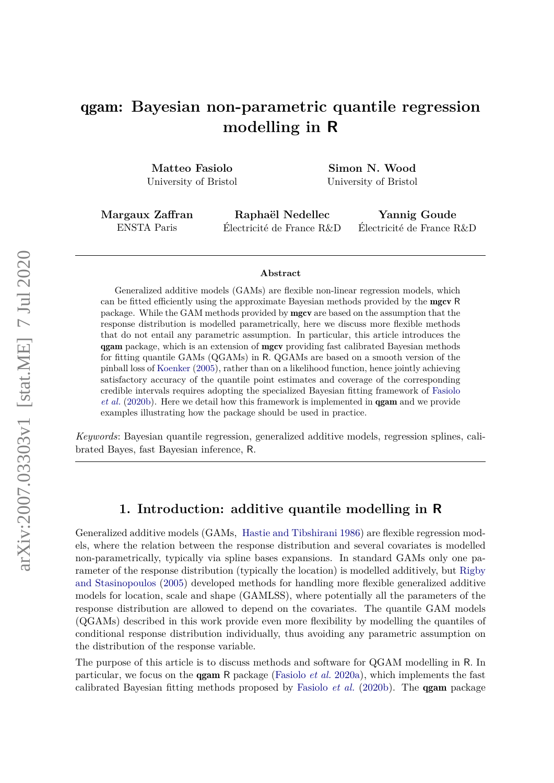# qgam**: Bayesian non-parametric quantile regression modelling in R**

**Matteo Fasiolo** University of Bristol

**Simon N. Wood** University of Bristol

**Margaux Zaffran** ENSTA Paris

**Raphaël Nedellec** Électricité de France R&D

**Yannig Goude** Électricité de France R&D

#### **Abstract**

Generalized additive models (GAMs) are flexible non-linear regression models, which can be fitted efficiently using the approximate Bayesian methods provided by the mgcv R package. While the GAM methods provided by mgcv are based on the assumption that the response distribution is modelled parametrically, here we discuss more flexible methods that do not entail any parametric assumption. In particular, this article introduces the qgam package, which is an extension of mgcv providing fast calibrated Bayesian methods for fitting quantile GAMs (QGAMs) in R. QGAMs are based on a smooth version of the pinball loss of [Koenker](#page-22-0) [\(2005\)](#page-22-0), rather than on a likelihood function, hence jointly achieving satisfactory accuracy of the quantile point estimates and coverage of the corresponding credible intervals requires adopting the specialized Bayesian fitting framework of [Fasiolo](#page-22-1) *[et al.](#page-22-1)* [\(2020b\)](#page-22-1). Here we detail how this framework is implemented in qgam and we provide examples illustrating how the package should be used in practice.

*Keywords*: Bayesian quantile regression, generalized additive models, regression splines, calibrated Bayes, fast Bayesian inference, R.

## **1. Introduction: additive quantile modelling in R**

Generalized additive models (GAMs, [Hastie and Tibshirani](#page-22-2) [1986\)](#page-22-2) are flexible regression models, where the relation between the response distribution and several covariates is modelled non-parametrically, typically via spline bases expansions. In standard GAMs only one parameter of the response distribution (typically the location) is modelled additively, but [Rigby](#page-23-0) [and Stasinopoulos](#page-23-0) [\(2005\)](#page-23-0) developed methods for handling more flexible generalized additive models for location, scale and shape (GAMLSS), where potentially all the parameters of the response distribution are allowed to depend on the covariates. The quantile GAM models (QGAMs) described in this work provide even more flexibility by modelling the quantiles of conditional response distribution individually, thus avoiding any parametric assumption on the distribution of the response variable.

The purpose of this article is to discuss methods and software for QGAM modelling in R. In particular, we focus on the qgam R package [\(Fasiolo](#page-22-3) *et al.* [2020a\)](#page-22-3), which implements the fast calibrated Bayesian fitting methods proposed by [Fasiolo](#page-22-1) *et al.* [\(2020b\)](#page-22-1). The qgam package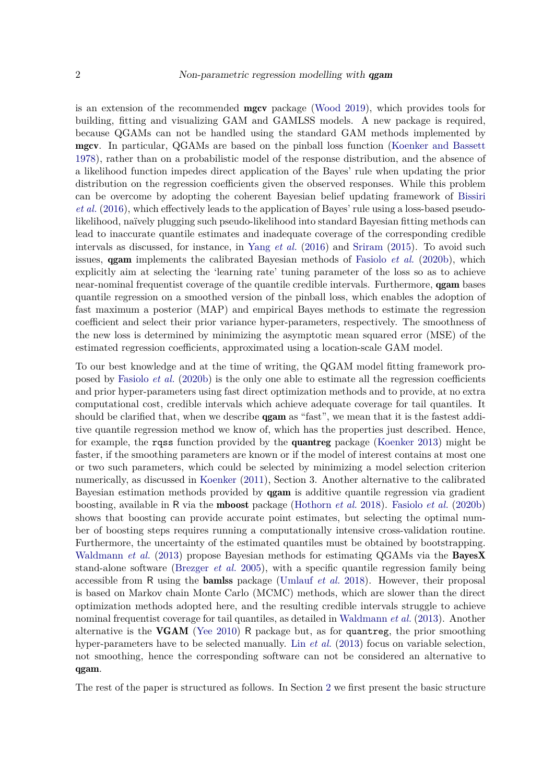is an extension of the recommended mgcv package [\(Wood](#page-23-1) [2019\)](#page-23-1), which provides tools for building, fitting and visualizing GAM and GAMLSS models. A new package is required, because QGAMs can not be handled using the standard GAM methods implemented by mgcv. In particular, QGAMs are based on the pinball loss function [\(Koenker and Bassett](#page-23-2) [1978\)](#page-23-2), rather than on a probabilistic model of the response distribution, and the absence of a likelihood function impedes direct application of the Bayes' rule when updating the prior distribution on the regression coefficients given the observed responses. While this problem can be overcome by adopting the coherent Bayesian belief updating framework of [Bissiri](#page-22-4) *[et al.](#page-22-4)* [\(2016\)](#page-22-4), which effectively leads to the application of Bayes' rule using a loss-based pseudolikelihood, naïvely plugging such pseudo-likelihood into standard Bayesian fitting methods can lead to inaccurate quantile estimates and inadequate coverage of the corresponding credible intervals as discussed, for instance, in Yang *[et al.](#page-24-0)* [\(2016\)](#page-24-0) and [Sriram](#page-23-3) [\(2015\)](#page-23-3). To avoid such issues, qgam implements the calibrated Bayesian methods of [Fasiolo](#page-22-1) *et al.* [\(2020b\)](#page-22-1), which explicitly aim at selecting the 'learning rate' tuning parameter of the loss so as to achieve near-nominal frequentist coverage of the quantile credible intervals. Furthermore, **qgam** bases quantile regression on a smoothed version of the pinball loss, which enables the adoption of fast maximum a posterior (MAP) and empirical Bayes methods to estimate the regression coefficient and select their prior variance hyper-parameters, respectively. The smoothness of the new loss is determined by minimizing the asymptotic mean squared error (MSE) of the estimated regression coefficients, approximated using a location-scale GAM model.

To our best knowledge and at the time of writing, the QGAM model fitting framework proposed by [Fasiolo](#page-22-1) *et al.* [\(2020b\)](#page-22-1) is the only one able to estimate all the regression coefficients and prior hyper-parameters using fast direct optimization methods and to provide, at no extra computational cost, credible intervals which achieve adequate coverage for tail quantiles. It should be clarified that, when we describe **qgam** as "fast", we mean that it is the fastest additive quantile regression method we know of, which has the properties just described. Hence, for example, the rqss function provided by the quantreg package [\(Koenker](#page-23-4) [2013\)](#page-23-4) might be faster, if the smoothing parameters are known or if the model of interest contains at most one or two such parameters, which could be selected by minimizing a model selection criterion numerically, as discussed in [Koenker](#page-23-5) [\(2011\)](#page-23-5), Section 3. Another alternative to the calibrated Bayesian estimation methods provided by qgam is additive quantile regression via gradient boosting, available in R via the mboost package [\(Hothorn](#page-22-5) *et al.* [2018\)](#page-22-5). [Fasiolo](#page-22-1) *et al.* [\(2020b\)](#page-22-1) shows that boosting can provide accurate point estimates, but selecting the optimal number of boosting steps requires running a computationally intensive cross-validation routine. Furthermore, the uncertainty of the estimated quantiles must be obtained by bootstrapping. [Waldmann](#page-23-6) *et al.* [\(2013\)](#page-23-6) propose Bayesian methods for estimating QGAMs via the **BayesX** stand-alone software [\(Brezger](#page-22-6) *et al.* [2005\)](#page-22-6), with a specific quantile regression family being accessible from R using the bamlss package [\(Umlauf](#page-23-7) *et al.* [2018\)](#page-23-7). However, their proposal is based on Markov chain Monte Carlo (MCMC) methods, which are slower than the direct optimization methods adopted here, and the resulting credible intervals struggle to achieve nominal frequentist coverage for tail quantiles, as detailed in [Waldmann](#page-23-6) *et al.* [\(2013\)](#page-23-6). Another alternative is the **VGAM** [\(Yee](#page-24-1) [2010\)](#page-24-1) R package but, as for quantreg, the prior smoothing hyper-parameters have to be selected manually. Lin *[et al.](#page-23-8)* [\(2013\)](#page-23-8) focus on variable selection, not smoothing, hence the corresponding software can not be considered an alternative to qgam.

The rest of the paper is structured as follows. In Section [2](#page-2-0) we first present the basic structure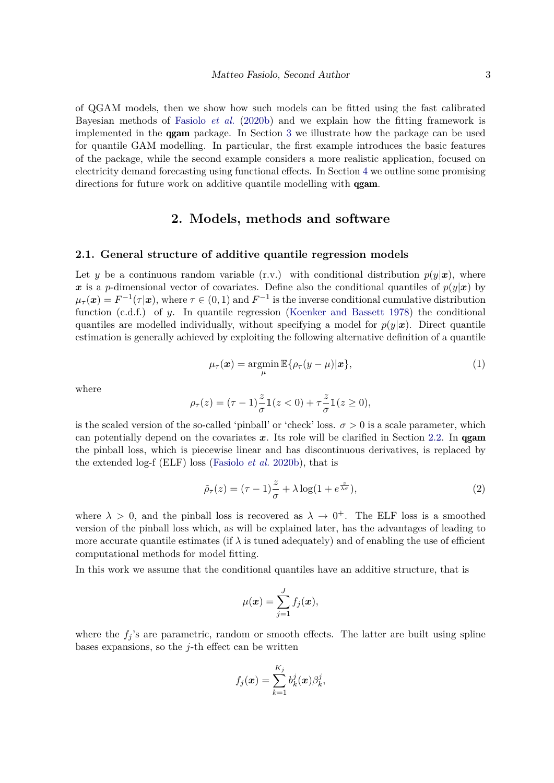of QGAM models, then we show how such models can be fitted using the fast calibrated Bayesian methods of [Fasiolo](#page-22-1) *et al.* [\(2020b\)](#page-22-1) and we explain how the fitting framework is implemented in the qgam package. In Section [3](#page-8-0) we illustrate how the package can be used for quantile GAM modelling. In particular, the first example introduces the basic features of the package, while the second example considers a more realistic application, focused on electricity demand forecasting using functional effects. In Section [4](#page-21-0) we outline some promising directions for future work on additive quantile modelling with **qgam**.

# **2. Models, methods and software**

#### <span id="page-2-0"></span>**2.1. General structure of additive quantile regression models**

Let *y* be a continuous random variable (r.v.) with conditional distribution  $p(y|x)$ , where x is a *p*-dimensional vector of covariates. Define also the conditional quantiles of  $p(y|x)$  by  $\mu_{\tau}(\boldsymbol{x}) = F^{-1}(\tau|\boldsymbol{x})$ , where  $\tau \in (0,1)$  and  $F^{-1}$  is the inverse conditional cumulative distribution function (c.d.f.) of *y*. In quantile regression [\(Koenker and Bassett](#page-23-2) [1978\)](#page-23-2) the conditional quantiles are modelled individually, without specifying a model for  $p(y|x)$ . Direct quantile estimation is generally achieved by exploiting the following alternative definition of a quantile

$$
\mu_{\tau}(\boldsymbol{x}) = \operatorname*{argmin}_{\mu} \mathbb{E}\{\rho_{\tau}(y-\mu)|\boldsymbol{x}\},\tag{1}
$$

<span id="page-2-1"></span>where

$$
\rho_{\tau}(z) = (\tau - 1)\frac{z}{\sigma}\mathbb{1}(z < 0) + \tau \frac{z}{\sigma}\mathbb{1}(z \ge 0),
$$

is the scaled version of the so-called 'pinball' or 'check' loss.  $\sigma > 0$  is a scale parameter, which can potentially depend on the covariates  $x$ . Its role will be clarified in Section [2.2.](#page-3-0) In **gam** the pinball loss, which is piecewise linear and has discontinuous derivatives, is replaced by the extended log-f (ELF) loss [\(Fasiolo](#page-22-1) *et al.* [2020b\)](#page-22-1), that is

$$
\tilde{\rho}_{\tau}(z) = (\tau - 1)\frac{z}{\sigma} + \lambda \log(1 + e^{\frac{z}{\lambda \sigma}}),\tag{2}
$$

where  $\lambda > 0$ , and the pinball loss is recovered as  $\lambda \to 0^+$ . The ELF loss is a smoothed version of the pinball loss which, as will be explained later, has the advantages of leading to more accurate quantile estimates (if  $\lambda$  is tuned adequately) and of enabling the use of efficient computational methods for model fitting.

In this work we assume that the conditional quantiles have an additive structure, that is

$$
\mu(\boldsymbol{x}) = \sum_{j=1}^J f_j(\boldsymbol{x}),
$$

where the  $f_i$ 's are parametric, random or smooth effects. The latter are built using spline bases expansions, so the *j*-th effect can be written

$$
f_j(\boldsymbol{x}) = \sum_{k=1}^{K_j} b_k^j(\boldsymbol{x}) \beta_k^j,
$$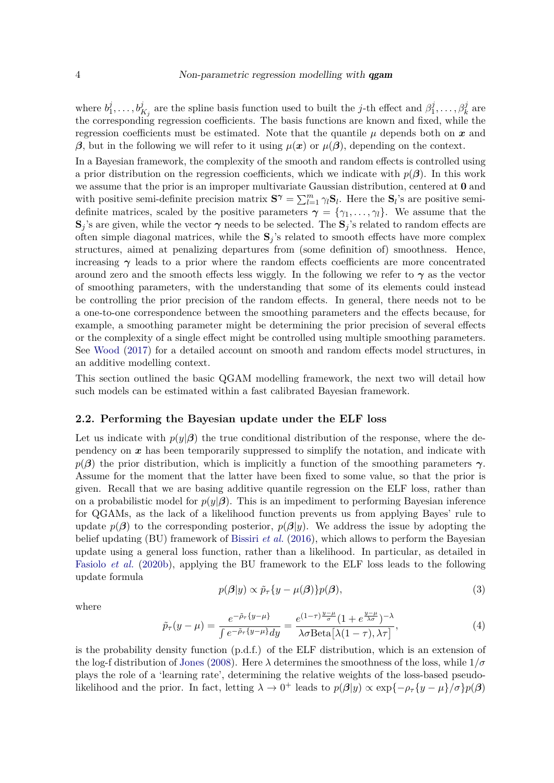where  $b_1^j$  $\beta_1^j, \ldots, \mathbf{b}_{K_j}^j$  are the spline basis function used to built the *j*-th effect and  $\beta_1^j$  $\beta_1^j, \ldots, \beta_k^j$  are the corresponding regression coefficients. The basis functions are known and fixed, while the regression coefficients must be estimated. Note that the quantile  $\mu$  depends both on  $\bm{x}$  and β, but in the following we will refer to it using  $\mu(x)$  or  $\mu(\beta)$ , depending on the context.

In a Bayesian framework, the complexity of the smooth and random effects is controlled using a prior distribution on the regression coefficients, which we indicate with  $p(\beta)$ . In this work we assume that the prior is an improper multivariate Gaussian distribution, centered at **0** and with positive semi-definite precision matrix  $S^{\gamma} = \sum_{l=1}^{m} \gamma_l S_l$ . Here the  $S_l$ 's are positive semidefinite matrices, scaled by the positive parameters  $\gamma = {\gamma_1, \ldots, \gamma_l}$ . We assume that the  $\mathbf{S}_j$ 's are given, while the vector  $\boldsymbol{\gamma}$  needs to be selected. The  $\mathbf{S}_j$ 's related to random effects are often simple diagonal matrices, while the  $S_j$ 's related to smooth effects have more complex structures, aimed at penalizing departures from (some definition of) smoothness. Hence, increasing  $\gamma$  leads to a prior where the random effects coefficients are more concentrated around zero and the smooth effects less wiggly. In the following we refer to  $\gamma$  as the vector of smoothing parameters, with the understanding that some of its elements could instead be controlling the prior precision of the random effects. In general, there needs not to be a one-to-one correspondence between the smoothing parameters and the effects because, for example, a smoothing parameter might be determining the prior precision of several effects or the complexity of a single effect might be controlled using multiple smoothing parameters. See [Wood](#page-23-9) [\(2017\)](#page-23-9) for a detailed account on smooth and random effects model structures, in an additive modelling context.

This section outlined the basic QGAM modelling framework, the next two will detail how such models can be estimated within a fast calibrated Bayesian framework.

#### <span id="page-3-0"></span>**2.2. Performing the Bayesian update under the ELF loss**

Let us indicate with  $p(y|\beta)$  the true conditional distribution of the response, where the dependency on  $x$  has been temporarily suppressed to simplify the notation, and indicate with  $p(\beta)$  the prior distribution, which is implicitly a function of the smoothing parameters  $\gamma$ . Assume for the moment that the latter have been fixed to some value, so that the prior is given. Recall that we are basing additive quantile regression on the ELF loss, rather than on a probabilistic model for  $p(y|\beta)$ . This is an impediment to performing Bayesian inference for QGAMs, as the lack of a likelihood function prevents us from applying Bayes' rule to update  $p(\beta)$  to the corresponding posterior,  $p(\beta|y)$ . We address the issue by adopting the belief updating (BU) framework of [Bissiri](#page-22-4) *et al.* [\(2016\)](#page-22-4), which allows to perform the Bayesian update using a general loss function, rather than a likelihood. In particular, as detailed in [Fasiolo](#page-22-1) *et al.* [\(2020b\)](#page-22-1), applying the BU framework to the ELF loss leads to the following update formula

$$
p(\boldsymbol{\beta}|y) \propto \tilde{p}_{\tau} \{ y - \mu(\boldsymbol{\beta}) \} p(\boldsymbol{\beta}), \tag{3}
$$

<span id="page-3-2"></span>where

<span id="page-3-1"></span>
$$
\tilde{p}_{\tau}(y-\mu) = \frac{e^{-\tilde{\rho}_{\tau}\{y-\mu\}}}{\int e^{-\tilde{\rho}_{\tau}\{y-\mu\}} dy} = \frac{e^{(1-\tau)\frac{y-\mu}{\sigma}}(1+e^{\frac{y-\mu}{\lambda\sigma}})^{-\lambda}}{\lambda\sigma \text{Beta}[\lambda(1-\tau),\lambda\tau]},
$$
\n(4)

is the probability density function (p.d.f.) of the ELF distribution, which is an extension of the log-f distribution of [Jones](#page-22-7) [\(2008\)](#page-22-7). Here  $\lambda$  determines the smoothness of the loss, while  $1/\sigma$ plays the role of a 'learning rate', determining the relative weights of the loss-based pseudolikelihood and the prior. In fact, letting  $\lambda \to 0^+$  leads to  $p(\beta|y) \propto \exp\{-\rho_\tau \{y-\mu\}/\sigma\} p(\beta)$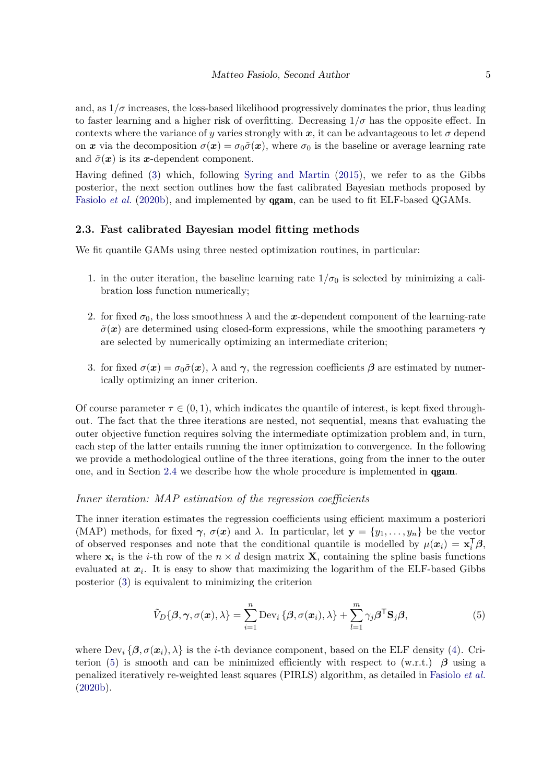and, as  $1/\sigma$  increases, the loss-based likelihood progressively dominates the prior, thus leading to faster learning and a higher risk of overfitting. Decreasing  $1/\sigma$  has the opposite effect. In contexts where the variance of *y* varies strongly with x, it can be advantageous to let  $\sigma$  depend on x via the decomposition  $\sigma(x) = \sigma_0 \tilde{\sigma}(x)$ , where  $\sigma_0$  is the baseline or average learning rate and  $\tilde{\sigma}(\mathbf{x})$  is its x-dependent component.

Having defined [\(3\)](#page-3-1) which, following [Syring and Martin](#page-23-10) [\(2015\)](#page-23-10), we refer to as the Gibbs posterior, the next section outlines how the fast calibrated Bayesian methods proposed by [Fasiolo](#page-22-1) *et al.* [\(2020b\)](#page-22-1), and implemented by **gam**, can be used to fit ELF-based QGAMs.

#### <span id="page-4-1"></span>**2.3. Fast calibrated Bayesian model fitting methods**

We fit quantile GAMs using three nested optimization routines, in particular:

- 1. in the outer iteration, the baseline learning rate  $1/\sigma_0$  is selected by minimizing a calibration loss function numerically;
- 2. for fixed  $\sigma_0$ , the loss smoothness  $\lambda$  and the x-dependent component of the learning-rate  $\tilde{\sigma}(\mathbf{x})$  are determined using closed-form expressions, while the smoothing parameters  $\gamma$ are selected by numerically optimizing an intermediate criterion;
- 3. for fixed  $\sigma(x) = \sigma_0 \tilde{\sigma}(x)$ ,  $\lambda$  and  $\gamma$ , the regression coefficients  $\beta$  are estimated by numerically optimizing an inner criterion.

Of course parameter  $\tau \in (0,1)$ , which indicates the quantile of interest, is kept fixed throughout. The fact that the three iterations are nested, not sequential, means that evaluating the outer objective function requires solving the intermediate optimization problem and, in turn, each step of the latter entails running the inner optimization to convergence. In the following we provide a methodological outline of the three iterations, going from the inner to the outer one, and in Section [2.4](#page-6-0) we describe how the whole procedure is implemented in qgam.

#### *Inner iteration: MAP estimation of the regression coefficients*

The inner iteration estimates the regression coefficients using efficient maximum a posteriori (MAP) methods, for fixed  $\gamma$ ,  $\sigma(x)$  and  $\lambda$ . In particular, let  $\mathbf{y} = \{y_1, \ldots, y_n\}$  be the vector of observed responses and note that the conditional quantile is modelled by  $\mu(\mathbf{x}_i) = \mathbf{x}_i^{\mathsf{T}} \boldsymbol{\beta}$ , where  $\mathbf{x}_i$  is the *i*-th row of the  $n \times d$  design matrix **X**, containing the spline basis functions evaluated at x*<sup>i</sup>* . It is easy to show that maximizing the logarithm of the ELF-based Gibbs posterior [\(3\)](#page-3-1) is equivalent to minimizing the criterion

<span id="page-4-0"></span>
$$
\tilde{V}_D\{\boldsymbol{\beta}, \boldsymbol{\gamma}, \sigma(\boldsymbol{x}), \lambda\} = \sum_{i=1}^n \text{Dev}_i \{\boldsymbol{\beta}, \sigma(\boldsymbol{x}_i), \lambda\} + \sum_{l=1}^m \gamma_j \boldsymbol{\beta}^\mathsf{T} \mathbf{S}_j \boldsymbol{\beta},
$$
\n(5)

where  $\text{Dev}_i \{ \beta, \sigma(x_i), \lambda \}$  is the *i*-th deviance component, based on the ELF density [\(4\)](#page-3-2). Cri-terion [\(5\)](#page-4-0) is smooth and can be minimized efficiently with respect to  $(w.r.t.)$   $\beta$  using a penalized iteratively re-weighted least squares (PIRLS) algorithm, as detailed in [Fasiolo](#page-22-1) *et al.* [\(2020b\)](#page-22-1).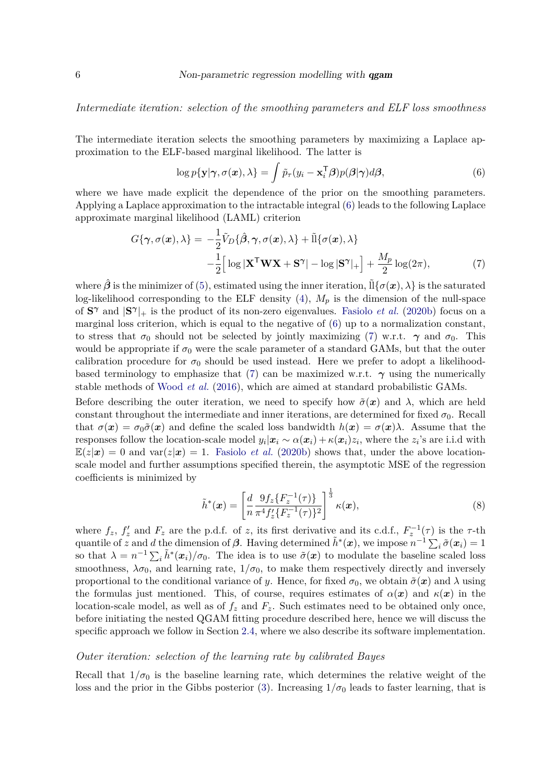*Intermediate iteration: selection of the smoothing parameters and ELF loss smoothness*

The intermediate iteration selects the smoothing parameters by maximizing a Laplace approximation to the ELF-based marginal likelihood. The latter is

<span id="page-5-1"></span><span id="page-5-0"></span>
$$
\log p\{\mathbf{y}|\boldsymbol{\gamma},\sigma(\boldsymbol{x}),\lambda\} = \int \tilde{p}_{\tau}(y_i - \mathbf{x}_i^{\mathsf{T}}\boldsymbol{\beta})p(\boldsymbol{\beta}|\boldsymbol{\gamma})d\boldsymbol{\beta},\tag{6}
$$

where we have made explicit the dependence of the prior on the smoothing parameters. Applying a Laplace approximation to the intractable integral [\(6\)](#page-5-0) leads to the following Laplace approximate marginal likelihood (LAML) criterion

$$
G\{\boldsymbol{\gamma}, \sigma(\boldsymbol{x}), \lambda\} = -\frac{1}{2}\tilde{V}_D\{\hat{\boldsymbol{\beta}}, \boldsymbol{\gamma}, \sigma(\boldsymbol{x}), \lambda\} + \tilde{\mathbb{I}}\{\sigma(\boldsymbol{x}), \lambda\}
$$

$$
-\frac{1}{2}\Big[\log|\mathbf{X}^{\mathsf{T}}\mathbf{W}\mathbf{X} + \mathbf{S}^{\boldsymbol{\gamma}}| - \log|\mathbf{S}^{\boldsymbol{\gamma}}|_{+}\Big] + \frac{M_p}{2}\log(2\pi),\tag{7}
$$

where  $\hat{\beta}$  is the minimizer of [\(5\)](#page-4-0), estimated using the inner iteration,  $\tilde{\Pi}\{\sigma(x),\lambda\}$  is the saturated log-likelihood corresponding to the ELF density  $(4)$ ,  $M_p$  is the dimension of the null-space of  $S^{\gamma}$  and  $|S^{\gamma}|_{+}$  is the product of its non-zero eigenvalues. [Fasiolo](#page-22-1) *et al.* [\(2020b\)](#page-22-1) focus on a marginal loss criterion, which is equal to the negative of [\(6\)](#page-5-0) up to a normalization constant, to stress that  $\sigma_0$  should not be selected by jointly maximizing [\(7\)](#page-5-1) w.r.t.  $\gamma$  and  $\sigma_0$ . This would be appropriate if  $\sigma_0$  were the scale parameter of a standard GAMs, but that the outer calibration procedure for  $\sigma_0$  should be used instead. Here we prefer to adopt a likelihood-based terminology to emphasize that [\(7\)](#page-5-1) can be maximized w.r.t.  $\gamma$  using the numerically stable methods of [Wood](#page-24-2) *et al.* [\(2016\)](#page-24-2), which are aimed at standard probabilistic GAMs.

Before describing the outer iteration, we need to specify how  $\tilde{\sigma}(x)$  and  $\lambda$ , which are held constant throughout the intermediate and inner iterations, are determined for fixed  $\sigma_0$ . Recall that  $\sigma(x) = \sigma_0 \tilde{\sigma}(x)$  and define the scaled loss bandwidth  $h(x) = \sigma(x)\lambda$ . Assume that the responses follow the location-scale model  $y_i | x_i \sim \alpha(x_i) + \kappa(x_i) z_i$ , where the  $z_i$ 's are i.i.d with  $E(z|\mathbf{x}) = 0$  and var $(z|\mathbf{x}) = 1$ . [Fasiolo](#page-22-1) *et al.* [\(2020b\)](#page-22-1) shows that, under the above locationscale model and further assumptions specified therein, the asymptotic MSE of the regression coefficients is minimized by

<span id="page-5-2"></span>
$$
\tilde{h}^*(\boldsymbol{x}) = \left[\frac{d}{n} \frac{9f_z\{F_z^{-1}(\tau)\}}{\pi^4 f'_z\{F_z^{-1}(\tau)\}^2}\right]^{\frac{1}{3}} \kappa(\boldsymbol{x}),\tag{8}
$$

where  $f_z$ ,  $f'_z$  and  $F_z$  are the p.d.f. of *z*, its first derivative and its c.d.f.,  $F_z^{-1}(\tau)$  is the  $\tau$ -th quantile of *z* and *d* the dimension of  $\beta$ . Having determined  $\tilde{h}^*(x)$ , we impose  $n^{-1} \sum_i \tilde{\sigma}(x_i) = 1$ so that  $\lambda = n^{-1} \sum_i \tilde{h}^*(x_i) / \sigma_0$ . The idea is to use  $\tilde{\sigma}(x)$  to modulate the baseline scaled loss smoothness,  $\lambda \sigma_0$ , and learning rate,  $1/\sigma_0$ , to make them respectively directly and inversely proportional to the conditional variance of *y*. Hence, for fixed  $\sigma_0$ , we obtain  $\tilde{\sigma}(\mathbf{x})$  and  $\lambda$  using the formulas just mentioned. This, of course, requires estimates of  $\alpha(x)$  and  $\kappa(x)$  in the location-scale model, as well as of  $f_z$  and  $F_z$ . Such estimates need to be obtained only once, before initiating the nested QGAM fitting procedure described here, hence we will discuss the specific approach we follow in Section [2.4,](#page-6-0) where we also describe its software implementation.

#### *Outer iteration: selection of the learning rate by calibrated Bayes*

Recall that  $1/\sigma_0$  is the baseline learning rate, which determines the relative weight of the loss and the prior in the Gibbs posterior [\(3\)](#page-3-1). Increasing  $1/\sigma_0$  leads to faster learning, that is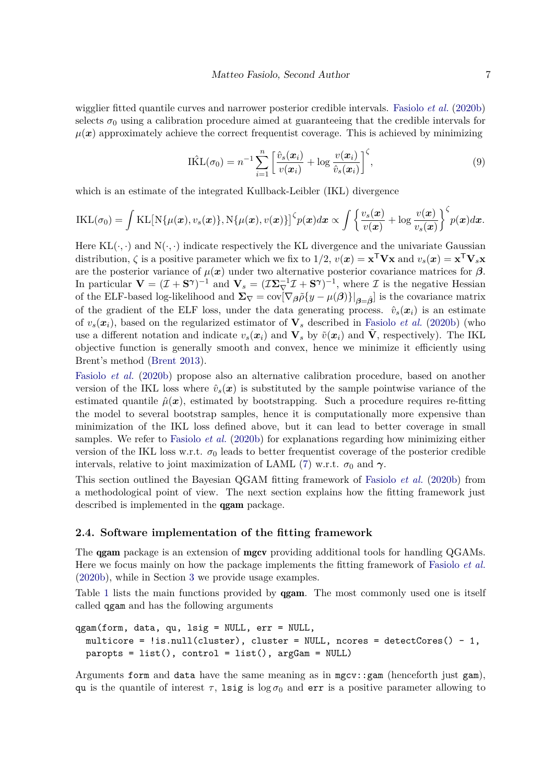wigglier fitted quantile curves and narrower posterior credible intervals. [Fasiolo](#page-22-1) *et al.* [\(2020b\)](#page-22-1) selects  $\sigma_0$  using a calibration procedure aimed at guaranteeing that the credible intervals for  $\mu(x)$  approximately achieve the correct frequentist coverage. This is achieved by minimizing

<span id="page-6-1"></span>
$$
\hat{\text{IKL}}(\sigma_0) = n^{-1} \sum_{i=1}^n \left[ \frac{\hat{v}_s(\boldsymbol{x}_i)}{v(\boldsymbol{x}_i)} + \log \frac{v(\boldsymbol{x}_i)}{\hat{v}_s(\boldsymbol{x}_i)} \right]^{\zeta},\tag{9}
$$

which is an estimate of the integrated Kullback-Leibler (IKL) divergence

$$
IKL(\sigma_0) = \int KL[N{\mu(\boldsymbol{x}), v_s(\boldsymbol{x})}, N{\mu(\boldsymbol{x}), v(\boldsymbol{x})}]^{\zeta} p(\boldsymbol{x}) d\boldsymbol{x} \propto \int \left\{ \frac{v_s(\boldsymbol{x})}{v(\boldsymbol{x})} + \log \frac{v(\boldsymbol{x})}{v_s(\boldsymbol{x})} \right\}^{\zeta} p(\boldsymbol{x}) d\boldsymbol{x}.
$$

Here  $KL(\cdot, \cdot)$  and  $N(\cdot, \cdot)$  indicate respectively the KL divergence and the univariate Gaussian distribution,  $\zeta$  is a positive parameter which we fix to  $1/2$ ,  $v(x) = \mathbf{x}^T \mathbf{V} \mathbf{x}$  and  $v_s(x) = \mathbf{x}^T \mathbf{V}_s \mathbf{x}$ are the posterior variance of  $\mu(x)$  under two alternative posterior covariance matrices for  $\beta$ . In particular  $\mathbf{V} = (\mathcal{I} + \mathbf{S}^{\gamma})^{-1}$  and  $\mathbf{V}_s = (\mathcal{I}\mathbf{\Sigma}_{\nabla}^{-1}\mathcal{I} + \mathbf{S}^{\gamma})^{-1}$ , where  $\mathcal{I}$  is the negative Hessian of the ELF-based log-likelihood and  $\Sigma_{\nabla} = \text{cov}[\nabla_{\beta} \tilde{\rho} \{y - \mu(\beta)\}|_{\beta = \beta}]$  is the covariance matrix of the gradient of the ELF loss, under the data generating process.  $\hat{v}_s(x_i)$  is an estimate of  $v_s(\mathbf{x}_i)$ , based on the regularized estimator of  $\mathbf{V}_s$  described in [Fasiolo](#page-22-1) *et al.* [\(2020b\)](#page-22-1) (who use a different notation and indicate  $v_s(x_i)$  and  $\mathbf{V}_s$  by  $\tilde{v}(x_i)$  and  $\tilde{\mathbf{V}}$ , respectively). The IKL objective function is generally smooth and convex, hence we minimize it efficiently using Brent's method [\(Brent](#page-22-8) [2013\)](#page-22-8).

[Fasiolo](#page-22-1) *et al.* [\(2020b\)](#page-22-1) propose also an alternative calibration procedure, based on another version of the IKL loss where  $\hat{v}_s(x)$  is substituted by the sample pointwise variance of the estimated quantile  $\hat{\mu}(\boldsymbol{x})$ , estimated by bootstrapping. Such a procedure requires re-fitting the model to several bootstrap samples, hence it is computationally more expensive than minimization of the IKL loss defined above, but it can lead to better coverage in small samples. We refer to [Fasiolo](#page-22-1) *et al.* [\(2020b\)](#page-22-1) for explanations regarding how minimizing either version of the IKL loss w.r.t.  $\sigma_0$  leads to better frequentist coverage of the posterior credible intervals, relative to joint maximization of LAML [\(7\)](#page-5-1) w.r.t.  $\sigma_0$  and  $\gamma$ .

This section outlined the Bayesian QGAM fitting framework of [Fasiolo](#page-22-1) *et al.* [\(2020b\)](#page-22-1) from a methodological point of view. The next section explains how the fitting framework just described is implemented in the qgam package.

#### <span id="page-6-0"></span>**2.4. Software implementation of the fitting framework**

The **qgam** package is an extension of **mgcv** providing additional tools for handling QGAMs. Here we focus mainly on how the package implements the fitting framework of [Fasiolo](#page-22-1) *et al.* [\(2020b\)](#page-22-1), while in Section [3](#page-8-0) we provide usage examples.

Table [1](#page-7-0) lists the main functions provided by **gam**. The most commonly used one is itself called qgam and has the following arguments

```
qgam(form, data, qu, lsig = NULL, err = NULL,
 multicore = lis.null(cluster), cluster = NULL, ncores = detectCores() - 1,
 paropts = list(), control = list(), argGam = NULL)
```
Arguments form and data have the same meaning as in mgcv::gam (henceforth just gam), qu is the quantile of interest  $\tau$ , lsig is  $\log \sigma_0$  and err is a positive parameter allowing to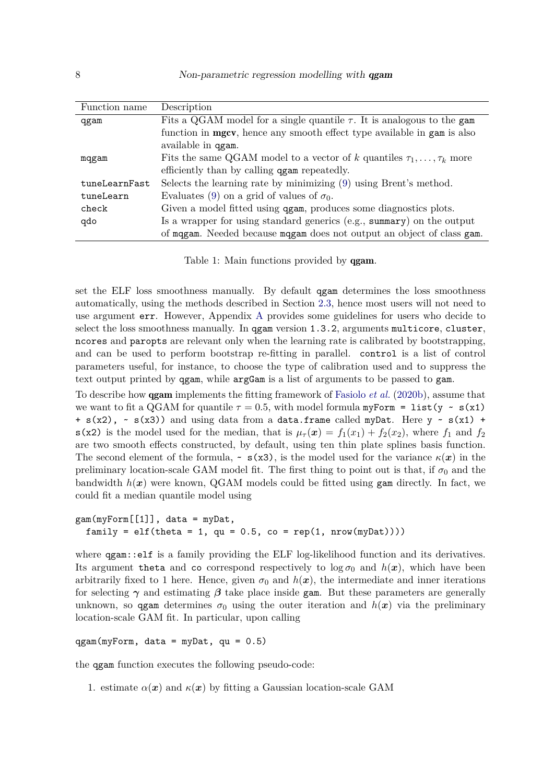| Function name | Description                                                                       |
|---------------|-----------------------------------------------------------------------------------|
| qgam          | Fits a QGAM model for a single quantile $\tau$ . It is analogous to the gam       |
|               | function in <b>mgcv</b> , hence any smooth effect type available in gam is also   |
|               | available in qgam.                                                                |
| mqgam         | Fits the same QGAM model to a vector of k quantiles $\tau_1, \ldots, \tau_k$ more |
|               | efficiently than by calling <b>qgam</b> repeatedly.                               |
| tuneLearnFast | Selects the learning rate by minimizing (9) using Brent's method.                 |
| tuneLearn     | Evaluates (9) on a grid of values of $\sigma_0$ .                                 |
| check         | Given a model fitted using <b>qgam</b> , produces some diagnostics plots.         |
| qdo           | Is a wrapper for using standard generics (e.g., summary) on the output            |
|               | of magam. Needed because magam does not output an object of class gam.            |

<span id="page-7-0"></span>Table 1: Main functions provided by **gam**.

set the ELF loss smoothness manually. By default qgam determines the loss smoothness automatically, using the methods described in Section [2.3,](#page-4-1) hence most users will not need to use argument err. However, Appendix [A](#page-25-0) provides some guidelines for users who decide to select the loss smoothness manually. In qgam version 1.3.2, arguments multicore, cluster, ncores and paropts are relevant only when the learning rate is calibrated by bootstrapping, and can be used to perform bootstrap re-fitting in parallel. control is a list of control parameters useful, for instance, to choose the type of calibration used and to suppress the text output printed by qgam, while argGam is a list of arguments to be passed to gam.

To describe how qgam implements the fitting framework of [Fasiolo](#page-22-1) *et al.* [\(2020b\)](#page-22-1), assume that we want to fit a QGAM for quantile  $\tau = 0.5$ , with model formula myForm = list(y ~ s(x1) +  $s(x2)$ ,  $\sim$   $s(x3)$ ) and using data from a data.frame called myDat. Here  $y \sim s(x1)$  + s(x2) is the model used for the median, that is  $\mu_{\tau}(x) = f_1(x_1) + f_2(x_2)$ , where  $f_1$  and  $f_2$ are two smooth effects constructed, by default, using ten thin plate splines basis function. The second element of the formula,  $\sim s(x3)$ , is the model used for the variance  $\kappa(x)$  in the preliminary location-scale GAM model fit. The first thing to point out is that, if  $\sigma_0$  and the bandwidth  $h(x)$  were known, QGAM models could be fitted using gam directly. In fact, we could fit a median quantile model using

```
gam(myForm[[1]], data = myDat,
 family = elf(theta = 1, qu = 0.5, co = rep(1, nrow(myData))))
```
where  $qgam$ ::elf is a family providing the ELF log-likelihood function and its derivatives. Its argument theta and co correspond respectively to  $\log \sigma_0$  and  $h(x)$ , which have been arbitrarily fixed to 1 here. Hence, given  $\sigma_0$  and  $h(x)$ , the intermediate and inner iterations for selecting  $\gamma$  and estimating  $\beta$  take place inside gam. But these parameters are generally unknown, so qgam determines  $\sigma_0$  using the outer iteration and  $h(x)$  via the preliminary location-scale GAM fit. In particular, upon calling

```
qgam(myForm, data = myDot, qu = 0.5)
```
the qgam function executes the following pseudo-code:

1. estimate  $\alpha(x)$  and  $\kappa(x)$  by fitting a Gaussian location-scale GAM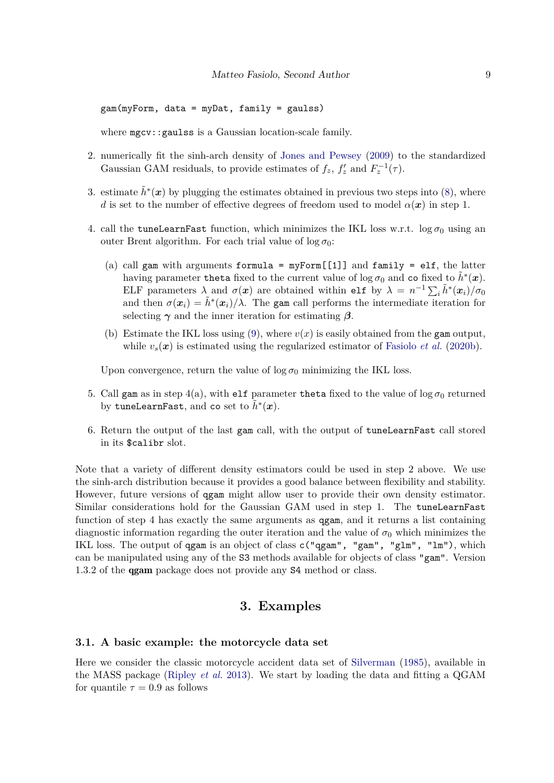gam(myForm, data = myDat, family = gaulss)

where mgcv::gaulss is a Gaussian location-scale family.

- 2. numerically fit the sinh-arch density of [Jones and Pewsey](#page-22-9) [\(2009\)](#page-22-9) to the standardized Gaussian GAM residuals, to provide estimates of  $f_z$ ,  $f'_z$  and  $F_z^{-1}(\tau)$ .
- 3. estimate  $\tilde{h}^*(x)$  by plugging the estimates obtained in previous two steps into [\(8\)](#page-5-2), where *d* is set to the number of effective degrees of freedom used to model  $\alpha(x)$  in step 1.
- 4. call the tuneLearnFast function, which minimizes the IKL loss w.r.t.  $\log \sigma_0$  using an outer Brent algorithm. For each trial value of  $\log \sigma_0$ :
	- (a) call gam with arguments formula =  $myForm[[1]]$  and family = elf, the latter having parameter theta fixed to the current value of log  $\sigma_0$  and  ${\tt co}$  fixed to  $\tilde{h}^*({\bm x})$ . ELF parameters  $\lambda$  and  $\sigma(x)$  are obtained within elf by  $\lambda = n^{-1} \sum_i \tilde{h}^*(x_i) / \sigma_0$ and then  $\sigma(x_i) = \tilde{h}^*(x_i)/\lambda$ . The gam call performs the intermediate iteration for selecting  $\gamma$  and the inner iteration for estimating  $\beta$ .
	- (b) Estimate the IKL loss using [\(9\)](#page-6-1), where  $v(x)$  is easily obtained from the gam output, while  $v_s(x)$  is estimated using the regularized estimator of [Fasiolo](#page-22-1) *et al.* [\(2020b\)](#page-22-1).

Upon convergence, return the value of  $\log \sigma_0$  minimizing the IKL loss.

- 5. Call gam as in step  $4(a)$ , with elf parameter theta fixed to the value of  $\log \sigma_0$  returned by  $\tt{tuneLearnFast}$ , and  $\verb|co set|$  to  $\tilde{h}^*(\boldsymbol{x})$ .
- 6. Return the output of the last gam call, with the output of tuneLearnFast call stored in its \$calibr slot.

Note that a variety of different density estimators could be used in step 2 above. We use the sinh-arch distribution because it provides a good balance between flexibility and stability. However, future versions of qgam might allow user to provide their own density estimator. Similar considerations hold for the Gaussian GAM used in step 1. The tuneLearnFast function of step 4 has exactly the same arguments as qgam, and it returns a list containing diagnostic information regarding the outer iteration and the value of  $\sigma_0$  which minimizes the IKL loss. The output of qgam is an object of class c("qgam", "gam", "glm", "lm"), which can be manipulated using any of the S3 methods available for objects of class "gam". Version 1.3.2 of the qgam package does not provide any S4 method or class.

## **3. Examples**

## <span id="page-8-0"></span>**3.1. A basic example: the motorcycle data set**

Here we consider the classic motorcycle accident data set of [Silverman](#page-23-11) [\(1985\)](#page-23-11), available in the MASS package [\(Ripley](#page-23-12) *et al.* [2013\)](#page-23-12). We start by loading the data and fitting a QGAM for quantile  $\tau = 0.9$  as follows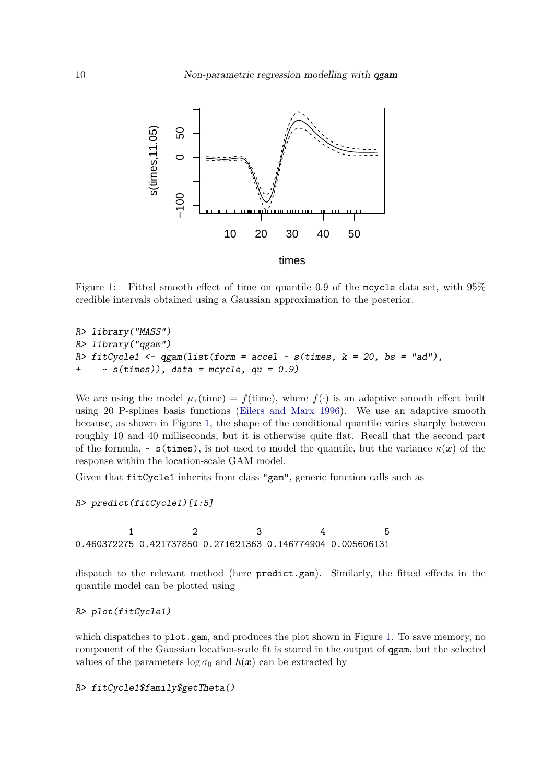

<span id="page-9-0"></span>Figure 1: Fitted smooth effect of time on quantile 0.9 of the mcycle data set, with 95% credible intervals obtained using a Gaussian approximation to the posterior.

```
R> library("MASS")
R> library("qgam")
R> fitCycle1 <- qgam(list(from = accel ~ s(times, k = 20, bs = "ad"),~s(times)), data = mcycle, qu = 0.9)
```
We are using the model  $\mu_{\tau}$  (time) =  $f$  (time), where  $f(\cdot)$  is an adaptive smooth effect built using 20 P-splines basis functions [\(Eilers and Marx](#page-22-10) [1996\)](#page-22-10). We use an adaptive smooth because, as shown in Figure [1,](#page-9-0) the shape of the conditional quantile varies sharply between roughly 10 and 40 milliseconds, but it is otherwise quite flat. Recall that the second part of the formula,  $\sim$  s(times), is not used to model the quantile, but the variance  $\kappa(x)$  of the response within the location-scale GAM model.

Given that fitCycle1 inherits from class "gam", generic function calls such as

R> predict(fitCycle1)[1:5]

1 2 3 4 5 0.460372275 0.421737850 0.271621363 0.146774904 0.005606131

dispatch to the relevant method (here predict.gam). Similarly, the fitted effects in the quantile model can be plotted using

R> plot(fitCycle1)

which dispatches to plot.gam, and produces the plot shown in Figure [1.](#page-9-0) To save memory, no component of the Gaussian location-scale fit is stored in the output of qgam, but the selected values of the parameters  $\log \sigma_0$  and  $h(x)$  can be extracted by

R> fitCycle1\$family\$getTheta()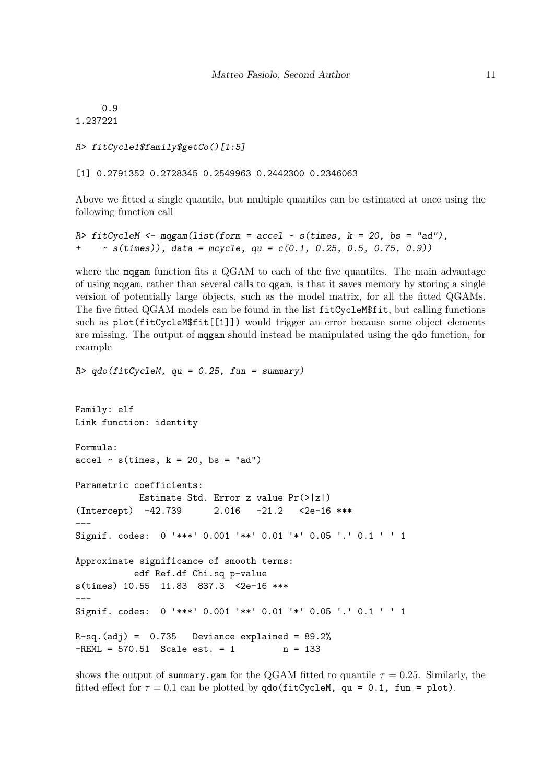0.9 1.237221

```
R> fitCycle1$family$getCo()[1:5]
```
[1] 0.2791352 0.2728345 0.2549963 0.2442300 0.2346063

 $R > qdo(fitCycleM, qu = 0.25, fun = summary)$ 

Above we fitted a single quantile, but multiple quantiles can be estimated at once using the following function call

```
R> fitCycleM <- mqgam(list(form = accel \sim s(times, k = 20, bs = "ad"),
     ~5 (times)), data = mcycle, qu = c(0.1, 0.25, 0.5, 0.75, 0.9))
```
where the magam function fits a QGAM to each of the five quantiles. The main advantage of using mqgam, rather than several calls to qgam, is that it saves memory by storing a single version of potentially large objects, such as the model matrix, for all the fitted QGAMs. The five fitted QGAM models can be found in the list fitCycleM\$fit, but calling functions such as plot(fitCycleM\$fit[[1]]) would trigger an error because some object elements are missing. The output of mqgam should instead be manipulated using the qdo function, for example

```
Family: elf
Link function: identity
Formula:
\text{accel} \sim \text{s}(\text{times}, k = 20, \text{bs} = \text{"ad"})Parametric coefficients:
            Estimate Std. Error z value Pr(>|z|)
(Intercept) -42.739 2.016 -21.2 <2e-16 ***
---
Signif. codes: 0 '***' 0.001 '**' 0.01 '*' 0.05 '.' 0.1 ' ' 1
Approximate significance of smooth terms:
           edf Ref.df Chi.sq p-value
s(times) 10.55 11.83 837.3 <2e-16 ***
---
Signif. codes: 0 '***' 0.001 '**' 0.01 '*' 0.05 '.' 0.1 ' ' 1
R-sq.(adj) = 0.735 Deviance explained = 89.2%
-REML = 570.51 Scale est. = 1 n = 133
```
shows the output of summary.gam for the QGAM fitted to quantile  $\tau = 0.25$ . Similarly, the fitted effect for  $\tau = 0.1$  can be plotted by  $\text{qdo}(\text{fitCycleM}, \text{ qu} = 0.1, \text{ fun} = \text{plot})$ .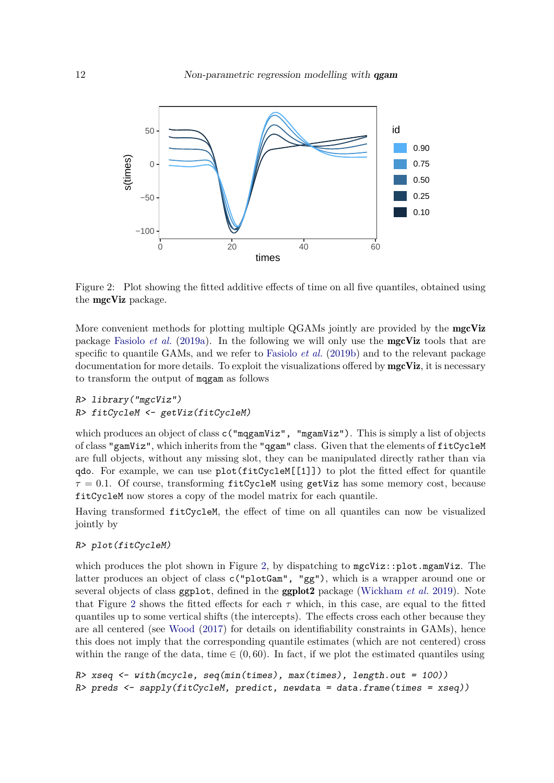

<span id="page-11-0"></span>Figure 2: Plot showing the fitted additive effects of time on all five quantiles, obtained using the mgcViz package.

More convenient methods for plotting multiple QGAMs jointly are provided by the mgcViz package [Fasiolo](#page-22-11) *et al.* [\(2019a\)](#page-22-11). In the following we will only use the mgcViz tools that are specific to quantile GAMs, and we refer to [Fasiolo](#page-22-12) *et al.* [\(2019b\)](#page-22-12) and to the relevant package documentation for more details. To exploit the visualizations offered by **mgcViz**, it is necessary to transform the output of mqgam as follows

```
R> library("mgcViz")
R> fitCycleM <- getViz(fitCycleM)
```
which produces an object of class  $c("mqgamViz", "mgamViz").$  This is simply a list of objects of class "gamViz", which inherits from the "qgam" class. Given that the elements of fitCycleM are full objects, without any missing slot, they can be manipulated directly rather than via qdo. For example, we can use plot(fitCycleM[[1]]) to plot the fitted effect for quantile  $\tau = 0.1$ . Of course, transforming  $\text{fitCycleM}$  using getViz has some memory cost, because fitCycleM now stores a copy of the model matrix for each quantile.

Having transformed fitCycleM, the effect of time on all quantiles can now be visualized jointly by

#### R> plot(fitCycleM)

which produces the plot shown in Figure [2,](#page-11-0) by dispatching to  $mgcViz:plot.mgamViz.$  The latter produces an object of class c("plotGam", "gg"), which is a wrapper around one or several objects of class ggplot, defined in the ggplot2 package [\(Wickham](#page-23-13) *et al.* [2019\)](#page-23-13). Note that Figure [2](#page-11-0) shows the fitted effects for each  $\tau$  which, in this case, are equal to the fitted quantiles up to some vertical shifts (the intercepts). The effects cross each other because they are all centered (see [Wood](#page-23-9) [\(2017\)](#page-23-9) for details on identifiability constraints in GAMs), hence this does not imply that the corresponding quantile estimates (which are not centered) cross within the range of the data, time  $\in (0, 60)$ . In fact, if we plot the estimated quantiles using

```
R> xseq \le with(mcycle, seq(min(times), max(times), length.out = 100))
R> preds <- sapply(fitCycleM, predict, newdata = data.frame(times = xseq))
```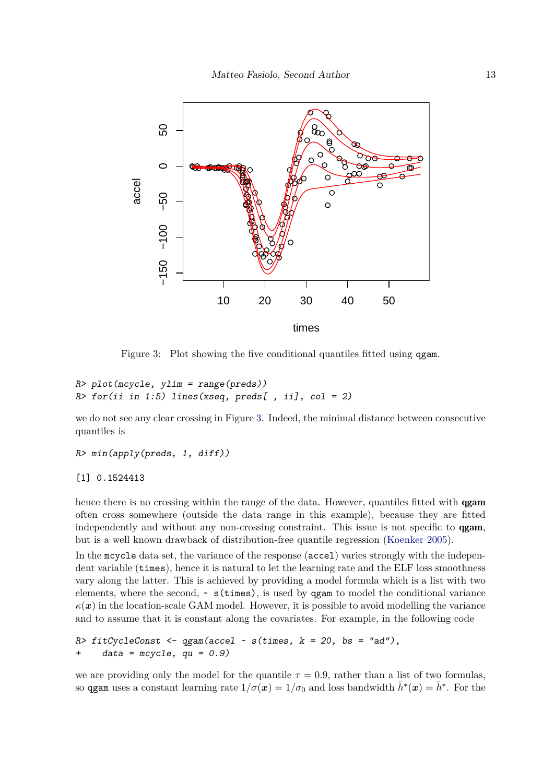

<span id="page-12-0"></span>Figure 3: Plot showing the five conditional quantiles fitted using qgam.

```
R> plot(mcycle, ylim = range(preds))
R> for (ii in 1:5) lines(xseq, preds[, ii], col = 2)
```
we do not see any clear crossing in Figure [3.](#page-12-0) Indeed, the minimal distance between consecutive quantiles is

R> min(apply(preds, 1, diff))

[1] 0.1524413

hence there is no crossing within the range of the data. However, quantiles fitted with **qgam** often cross somewhere (outside the data range in this example), because they are fitted independently and without any non-crossing constraint. This issue is not specific to qgam, but is a well known drawback of distribution-free quantile regression [\(Koenker](#page-22-0) [2005\)](#page-22-0).

In the mcycle data set, the variance of the response (accel) varies strongly with the independent variable (times), hence it is natural to let the learning rate and the ELF loss smoothness vary along the latter. This is achieved by providing a model formula which is a list with two elements, where the second,  $\sim s$  (times), is used by qgam to model the conditional variance  $\kappa(x)$  in the location-scale GAM model. However, it is possible to avoid modelling the variance and to assume that it is constant along the covariates. For example, in the following code

```
R> fitCycleConst <- qgam(accel ~ s(times, k = 20, bs = "ad"),
+ data = mcycle, qu = 0.9)
```
we are providing only the model for the quantile  $\tau = 0.9$ , rather than a list of two formulas, so  $\alpha$  qgam uses a constant learning rate  $1/\sigma(x) = 1/\sigma_0$  and loss bandwidth  $\tilde{h}^*(x) = \tilde{h}^*$ . For the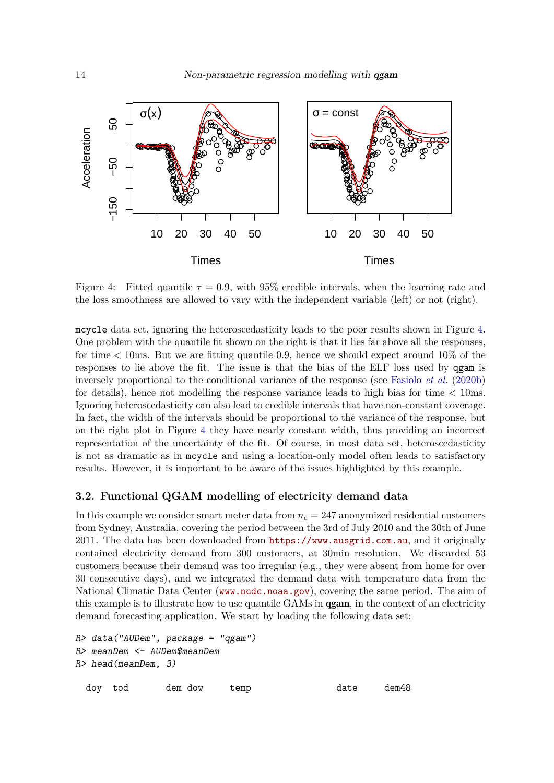

<span id="page-13-0"></span>Figure 4: Fitted quantile  $\tau = 0.9$ , with 95% credible intervals, when the learning rate and the loss smoothness are allowed to vary with the independent variable (left) or not (right).

mcycle data set, ignoring the heteroscedasticity leads to the poor results shown in Figure [4.](#page-13-0) One problem with the quantile fit shown on the right is that it lies far above all the responses, for time *<* 10ms. But we are fitting quantile 0.9, hence we should expect around 10% of the responses to lie above the fit. The issue is that the bias of the ELF loss used by qgam is inversely proportional to the conditional variance of the response (see [Fasiolo](#page-22-1) *et al.* [\(2020b\)](#page-22-1) for details), hence not modelling the response variance leads to high bias for time *<* 10ms. Ignoring heteroscedasticity can also lead to credible intervals that have non-constant coverage. In fact, the width of the intervals should be proportional to the variance of the response, but on the right plot in Figure [4](#page-13-0) they have nearly constant width, thus providing an incorrect representation of the uncertainty of the fit. Of course, in most data set, heteroscedasticity is not as dramatic as in mcycle and using a location-only model often leads to satisfactory results. However, it is important to be aware of the issues highlighted by this example.

## **3.2. Functional QGAM modelling of electricity demand data**

In this example we consider smart meter data from *n<sup>c</sup>* = 247 anonymized residential customers from Sydney, Australia, covering the period between the 3rd of July 2010 and the 30th of June 2011. The data has been downloaded from <https://www.ausgrid.com.au>, and it originally contained electricity demand from 300 customers, at 30min resolution. We discarded 53 customers because their demand was too irregular (e.g., they were absent from home for over 30 consecutive days), and we integrated the demand data with temperature data from the National Climatic Data Center (<www.ncdc.noaa.gov>), covering the same period. The aim of this example is to illustrate how to use quantile GAMs in **qgam**, in the context of an electricity demand forecasting application. We start by loading the following data set:

```
R> data("AUDem", package = "qgam")
R> meanDem <- AUDem$meanDem
R> head(meanDem, 3)
 doy tod dem dow temp date dem48
```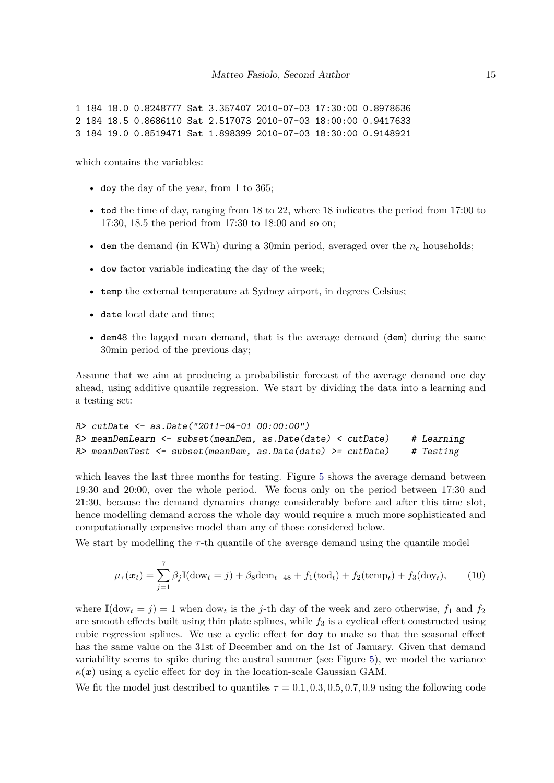```
1 184 18.0 0.8248777 Sat 3.357407 2010-07-03 17:30:00 0.8978636
2 184 18.5 0.8686110 Sat 2.517073 2010-07-03 18:00:00 0.9417633
3 184 19.0 0.8519471 Sat 1.898399 2010-07-03 18:30:00 0.9148921
```
which contains the variables:

- doy the day of the year, from 1 to 365;
- tod the time of day, ranging from 18 to 22, where 18 indicates the period from 17:00 to 17:30, 18.5 the period from 17:30 to 18:00 and so on;
- dem the demand (in KWh) during a 30min period, averaged over the *n<sup>c</sup>* households;
- dow factor variable indicating the day of the week;
- temp the external temperature at Sydney airport, in degrees Celsius;
- date local date and time;
- dem48 the lagged mean demand, that is the average demand (dem) during the same 30min period of the previous day;

Assume that we aim at producing a probabilistic forecast of the average demand one day ahead, using additive quantile regression. We start by dividing the data into a learning and a testing set:

```
R> cutDate <- as.Date("2011-04-01 00:00:00")
R> meanDemLearn \leq subset (meanDem, as.Date (date) \leq cutDate) # Learning
R meanDemTest \leq subset (meanDem, as. Date (date) > = cutDate) # Testing
```
which leaves the last three months for testing. Figure [5](#page-15-0) shows the average demand between 19:30 and 20:00, over the whole period. We focus only on the period between 17:30 and 21:30, because the demand dynamics change considerably before and after this time slot, hence modelling demand across the whole day would require a much more sophisticated and computationally expensive model than any of those considered below.

We start by modelling the  $\tau$ -th quantile of the average demand using the quantile model

<span id="page-14-0"></span>
$$
\mu_{\tau}(\boldsymbol{x}_t) = \sum_{j=1}^7 \beta_j \mathbb{I}(\text{dow}_t = j) + \beta_8 \text{dem}_{t-48} + f_1(\text{tod}_t) + f_2(\text{temp}_t) + f_3(\text{doy}_t),\tag{10}
$$

where  $\mathbb{I}(\text{dow}_t = j) = 1$  when  $\text{dow}_t$  is the *j*-th day of the week and zero otherwise,  $f_1$  and  $f_2$ are smooth effects built using thin plate splines, while  $f_3$  is a cyclical effect constructed using cubic regression splines. We use a cyclic effect for doy to make so that the seasonal effect has the same value on the 31st of December and on the 1st of January. Given that demand variability seems to spike during the austral summer (see Figure [5\)](#page-15-0), we model the variance  $\kappa(x)$  using a cyclic effect for doy in the location-scale Gaussian GAM.

We fit the model just described to quantiles  $\tau = 0.1, 0.3, 0.5, 0.7, 0.9$  using the following code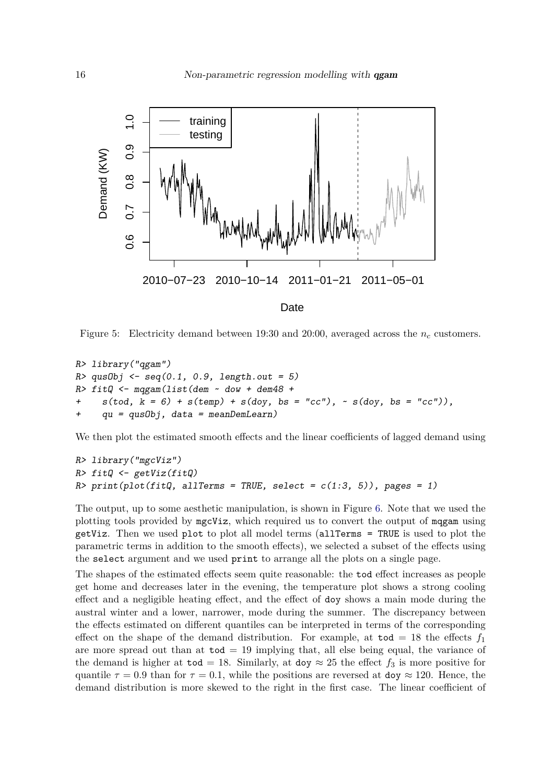

<span id="page-15-0"></span>Figure 5: Electricity demand between 19:30 and 20:00, averaged across the *n<sup>c</sup>* customers.

```
R> library("qgam")
R> qusObj <- seq(0.1, 0.9, length.out = 5)
R> fitQ <- mqgam(list(dem ~ dow + dem48 +
+ s(tod, k = 6) + s(temp) + s(doy, bs = "cc"), \sim s(doy, bs = "cc")),
+ qu = qusObj, data = meanDemLearn)
```
We then plot the estimated smooth effects and the linear coefficients of lagged demand using

```
R> library("mgcViz")
R> fitQ <- getViz(fitQ)
R> print(plot(fitQ, allTerms = TRUE, select = c(1:3, 5)), pages = 1)
```
The output, up to some aesthetic manipulation, is shown in Figure [6.](#page-16-0) Note that we used the plotting tools provided by mgcViz, which required us to convert the output of mqgam using getViz. Then we used plot to plot all model terms (allTerms = TRUE is used to plot the parametric terms in addition to the smooth effects), we selected a subset of the effects using the select argument and we used print to arrange all the plots on a single page.

The shapes of the estimated effects seem quite reasonable: the tod effect increases as people get home and decreases later in the evening, the temperature plot shows a strong cooling effect and a negligible heating effect, and the effect of doy shows a main mode during the austral winter and a lower, narrower, mode during the summer. The discrepancy between the effects estimated on different quantiles can be interpreted in terms of the corresponding effect on the shape of the demand distribution. For example, at  $\text{tod} = 18$  the effects  $f_1$ are more spread out than at  $\text{tod} = 19$  implying that, all else being equal, the variance of the demand is higher at  $\text{tod} = 18$ . Similarly, at  $\text{dog} \approx 25$  the effect  $f_3$  is more positive for quantile  $\tau = 0.9$  than for  $\tau = 0.1$ , while the positions are reversed at doy  $\approx 120$ . Hence, the demand distribution is more skewed to the right in the first case. The linear coefficient of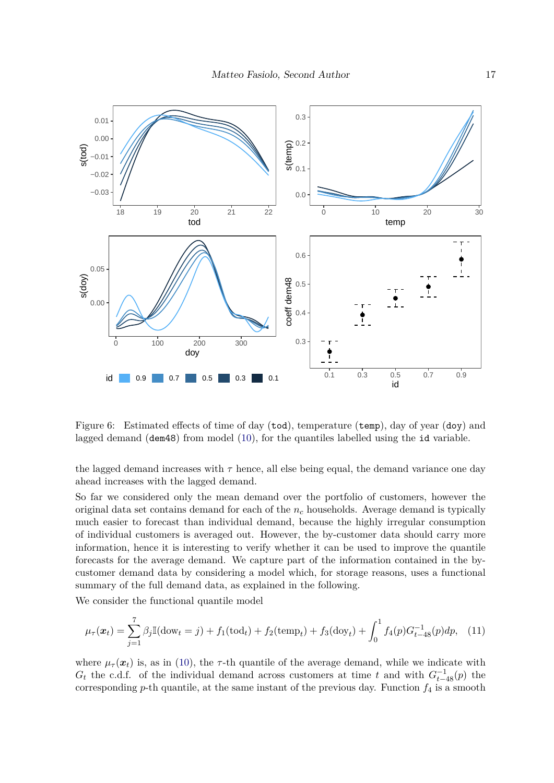

<span id="page-16-0"></span>Figure 6: Estimated effects of time of day (tod), temperature (temp), day of year (doy) and lagged demand (dem48) from model [\(10\)](#page-14-0), for the quantiles labelled using the id variable.

the lagged demand increases with  $\tau$  hence, all else being equal, the demand variance one day ahead increases with the lagged demand.

So far we considered only the mean demand over the portfolio of customers, however the original data set contains demand for each of the *n<sup>c</sup>* households. Average demand is typically much easier to forecast than individual demand, because the highly irregular consumption of individual customers is averaged out. However, the by-customer data should carry more information, hence it is interesting to verify whether it can be used to improve the quantile forecasts for the average demand. We capture part of the information contained in the bycustomer demand data by considering a model which, for storage reasons, uses a functional summary of the full demand data, as explained in the following.

We consider the functional quantile model

<span id="page-16-1"></span>
$$
\mu_{\tau}(\boldsymbol{x}_t) = \sum_{j=1}^7 \beta_j \mathbb{I}(\text{dow}_t = j) + f_1(\text{tod}_t) + f_2(\text{temp}_t) + f_3(\text{dow}_t) + \int_0^1 f_4(p) G_{t-48}^{-1}(p) dp, \tag{11}
$$

where  $\mu_{\tau}(\boldsymbol{x}_t)$  is, as in [\(10\)](#page-14-0), the  $\tau$ -th quantile of the average demand, while we indicate with  $G_t$  the c.d.f. of the individual demand across customers at time *t* and with  $G_{t-48}^{-1}(p)$  the corresponding  $p$ -th quantile, at the same instant of the previous day. Function  $f_4$  is a smooth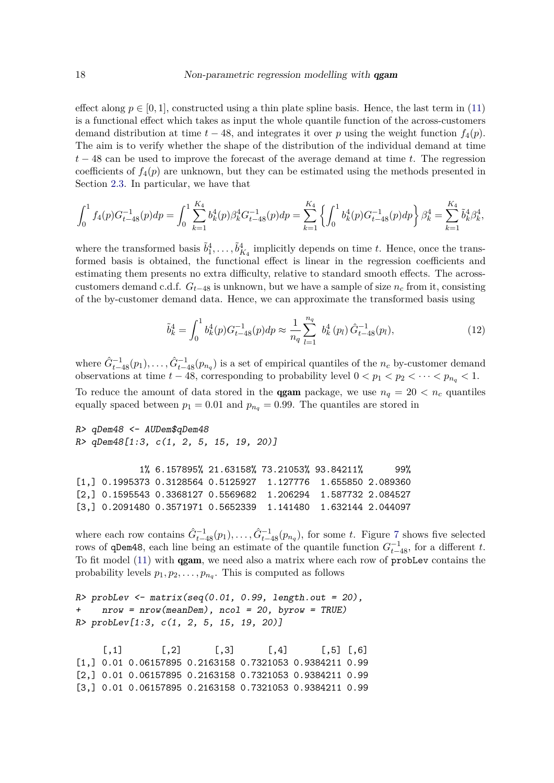effect along  $p \in [0, 1]$ , constructed using a thin plate spline basis. Hence, the last term in [\(11\)](#page-16-1) is a functional effect which takes as input the whole quantile function of the across-customers demand distribution at time  $t - 48$ , and integrates it over p using the weight function  $f_4(p)$ . The aim is to verify whether the shape of the distribution of the individual demand at time *t* − 48 can be used to improve the forecast of the average demand at time *t*. The regression coefficients of  $f_4(p)$  are unknown, but they can be estimated using the methods presented in Section [2.3.](#page-4-1) In particular, we have that

$$
\int_0^1 f_4(p) G_{t-48}^{-1}(p) dp = \int_0^1 \sum_{k=1}^{K_4} b_k^4(p) \beta_k^4 G_{t-48}^{-1}(p) dp = \sum_{k=1}^{K_4} \left\{ \int_0^1 b_k^4(p) G_{t-48}^{-1}(p) dp \right\} \beta_k^4 = \sum_{k=1}^{K_4} \tilde{b}_k^4 \beta_k^4,
$$

where the transformed basis  $\tilde{b}_1^4, \ldots, \tilde{b}_{K_4}^4$  implicitly depends on time *t*. Hence, once the transformed basis is obtained, the functional effect is linear in the regression coefficients and estimating them presents no extra difficulty, relative to standard smooth effects. The acrosscustomers demand c.d.f. *Gt*−<sup>48</sup> is unknown, but we have a sample of size *n<sup>c</sup>* from it, consisting of the by-customer demand data. Hence, we can approximate the transformed basis using

<span id="page-17-0"></span>
$$
\tilde{b}_k^4 = \int_0^1 b_k^4(p) G_{t-48}^{-1}(p) dp \approx \frac{1}{n_q} \sum_{l=1}^{n_q} b_k^4(p_l) \hat{G}_{t-48}^{-1}(p_l), \tag{12}
$$

where  $\hat{G}_{t-48}^{-1}(p_1), \ldots, \hat{G}_{t-48}^{-1}(p_{n_q})$  is a set of empirical quantiles of the  $n_c$  by-customer demand observations at time  $t - 48$ , corresponding to probability level  $0 < p_1 < p_2 < \cdots < p_{n_q} < 1$ . To reduce the amount of data stored in the **qgam** package, we use  $n_q = 20 < n_c$  quantiles equally spaced between  $p_1 = 0.01$  and  $p_{n_q} = 0.99$ . The quantiles are stored in

```
R> qDem48 <- AUDem$qDem48
R> qDem48[1:3, c(1, 2, 5, 15, 19, 20)]
```

```
1% 6.157895% 21.63158% 73.21053% 93.84211% 99%
[1,] 0.1995373 0.3128564 0.5125927 1.127776 1.655850 2.089360
[2,] 0.1595543 0.3368127 0.5569682 1.206294 1.587732 2.084527
[3,] 0.2091480 0.3571971 0.5652339 1.141480 1.632144 2.044097
```
where each row contains  $\hat{G}_{t-48}^{-1}(p_1), \ldots, \hat{G}_{t-48}^{-1}(p_{n_q}),$  for some *t*. Figure [7](#page-18-0) shows five selected rows of qDem48, each line being an estimate of the quantile function  $G_{t-48}^{-1}$ , for a different *t*. To fit model [\(11\)](#page-16-1) with qgam, we need also a matrix where each row of probLev contains the probability levels  $p_1, p_2, \ldots, p_{n_q}$ . This is computed as follows

```
R> probLev <- matrix(seq(0.01, 0.99, length.out = 20),
    nrow = nrow(meanDem), ncol = 20, byrow = TRUE)
R> probLev[1:3, c(1, 2, 5, 15, 19, 20)]
```
 $[0,1]$   $[0,2]$   $[0,3]$   $[0,4]$   $[0,5]$   $[0,6]$ [1,] 0.01 0.06157895 0.2163158 0.7321053 0.9384211 0.99 [2,] 0.01 0.06157895 0.2163158 0.7321053 0.9384211 0.99 [3,] 0.01 0.06157895 0.2163158 0.7321053 0.9384211 0.99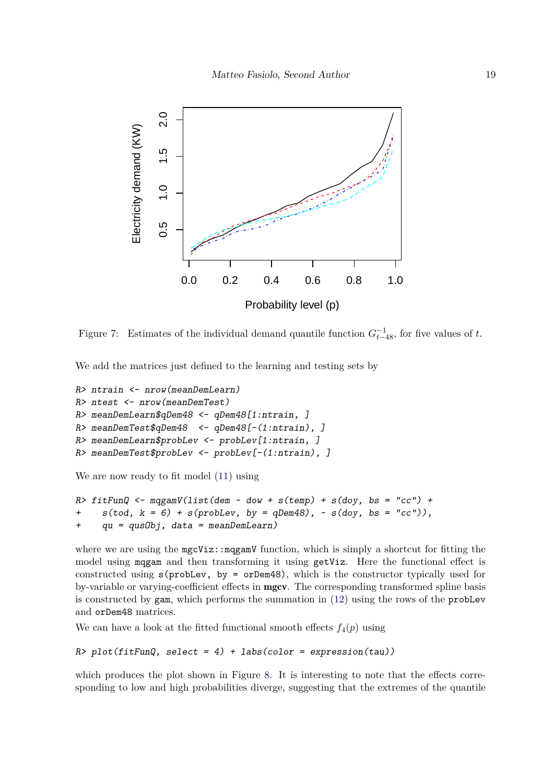

<span id="page-18-0"></span>Figure 7: Estimates of the individual demand quantile function  $G_{t-48}^{-1}$ , for five values of t.

We add the matrices just defined to the learning and testing sets by

```
R> ntrain <- nrow(meanDemLearn)
R> ntest <- nrow(meanDemTest)
R> meanDemLearn$qDem48 <- qDem48[1:ntrain, ]
R> meanDemTest$qDem48 <- qDem48[-(1:ntrain), ]
R> meanDemLearn$probLev <- probLev[1:ntrain, ]
R> meanDemTest$probLev <- probLev[-(1:ntrain), ]
```
We are now ready to fit model [\(11\)](#page-16-1) using

```
R> fitFunQ <- mqgamV(list(dem \sim dow + s(temp) + s(doy, bs = "cc") +
+ s(tod, k = 6) + s(probLev, by = q Dem48), ~ s(doy, bs = "cc")),
+ qu = qusObj, data = meanDemLearn)
```
where we are using the  $mgcViz:mggamV$  function, which is simply a shortcut for fitting the model using mqgam and then transforming it using getViz. Here the functional effect is constructed using s(probLev, by = orDem48), which is the constructor typically used for by-variable or varying-coefficient effects in mgcv. The corresponding transformed spline basis is constructed by gam, which performs the summation in [\(12\)](#page-17-0) using the rows of the probLev and orDem48 matrices.

We can have a look at the fitted functional smooth effects  $f_4(p)$  using

```
R> plot(fitFunQ, select = 4) + labs(color = expression(tau))
```
which produces the plot shown in Figure [8.](#page-19-0) It is interesting to note that the effects corresponding to low and high probabilities diverge, suggesting that the extremes of the quantile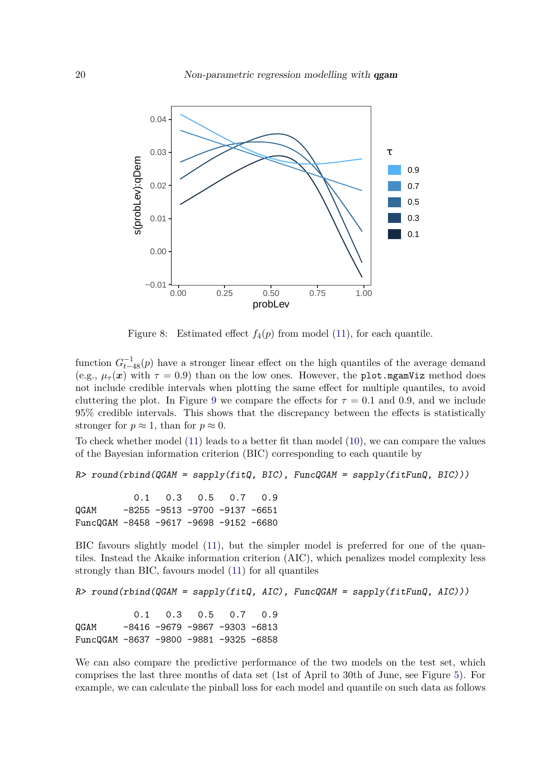

<span id="page-19-0"></span>Figure 8: Estimated effect  $f_4(p)$  from model [\(11\)](#page-16-1), for each quantile.

function  $G_{t-48}^{-1}(p)$  have a stronger linear effect on the high quantiles of the average demand (e.g.,  $\mu_{\tau}(x)$  with  $\tau = 0.9$ ) than on the low ones. However, the plot.mgamViz method does not include credible intervals when plotting the same effect for multiple quantiles, to avoid cluttering the plot. In Figure [9](#page-20-0) we compare the effects for  $\tau = 0.1$  and 0.9, and we include 95% credible intervals. This shows that the discrepancy between the effects is statistically stronger for  $p \approx 1$ , than for  $p \approx 0$ .

To check whether model [\(11\)](#page-16-1) leads to a better fit than model [\(10\)](#page-14-0), we can compare the values of the Bayesian information criterion (BIC) corresponding to each quantile by

```
R> round(rbind(QGAM = sapply(fitQ, BIC), FuncQGAM = sapply(fitFunQ, BIC)))
```
0.1 0.3 0.5 0.7 0.9 QGAM -8255 -9513 -9700 -9137 -6651 FuncQGAM -8458 -9617 -9698 -9152 -6680

BIC favours slightly model [\(11\)](#page-16-1), but the simpler model is preferred for one of the quantiles. Instead the Akaike information criterion (AIC), which penalizes model complexity less strongly than BIC, favours model [\(11\)](#page-16-1) for all quantiles

```
R> round(rbind(QGAM = sapply(fitQ, AIC), FuncQGAM = sapply(fitFunQ, AIC)))
```
0.1 0.3 0.5 0.7 0.9 QGAM -8416 -9679 -9867 -9303 -6813 FuncQGAM -8637 -9800 -9881 -9325 -6858

We can also compare the predictive performance of the two models on the test set, which comprises the last three months of data set (1st of April to 30th of June, see Figure [5\)](#page-15-0). For example, we can calculate the pinball loss for each model and quantile on such data as follows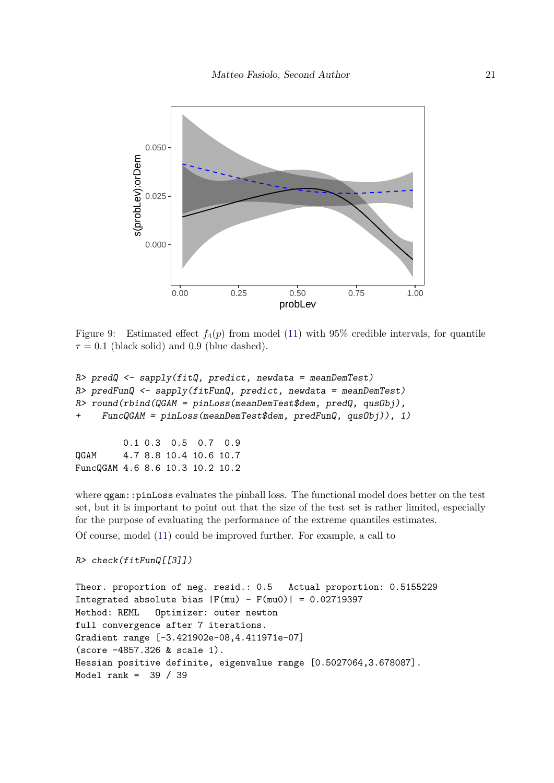

<span id="page-20-0"></span>Figure 9: Estimated effect  $f_4(p)$  from model [\(11\)](#page-16-1) with 95% credible intervals, for quantile  $\tau = 0.1$  (black solid) and 0.9 (blue dashed).

```
R> predQ <- sapply(fitQ, predict, newdata = meanDemTest)
R> predFunQ <- sapply(fitFunQ, predict, newdata = meanDemTest)
R> round(rbind(QGAM = pinLoss(meanDemTest$dem, predQ, qusObj),
+ FuncQGAM = pinLoss(meanDemTest$dem, predFunQ, qusObj)), 1)
         0.1 0.3 0.5 0.7 0.9
QGAM 4.7 8.8 10.4 10.6 10.7
FuncQGAM 4.6 8.6 10.3 10.2 10.2
```
where  $qgam$ ::pinLoss evaluates the pinball loss. The functional model does better on the test set, but it is important to point out that the size of the test set is rather limited, especially for the purpose of evaluating the performance of the extreme quantiles estimates. Of course, model [\(11\)](#page-16-1) could be improved further. For example, a call to

```
R> check(fitFunQ[[3]])
```

```
Theor. proportion of neg. resid.: 0.5 Actual proportion: 0.5155229
Integrated absolute bias |F(mu) - F(mu0)| = 0.02719397Method: REML Optimizer: outer newton
full convergence after 7 iterations.
Gradient range [-3.421902e-08,4.411971e-07]
(score -4857.326 & scale 1).
Hessian positive definite, eigenvalue range [0.5027064,3.678087].
Model rank = 39 / 39
```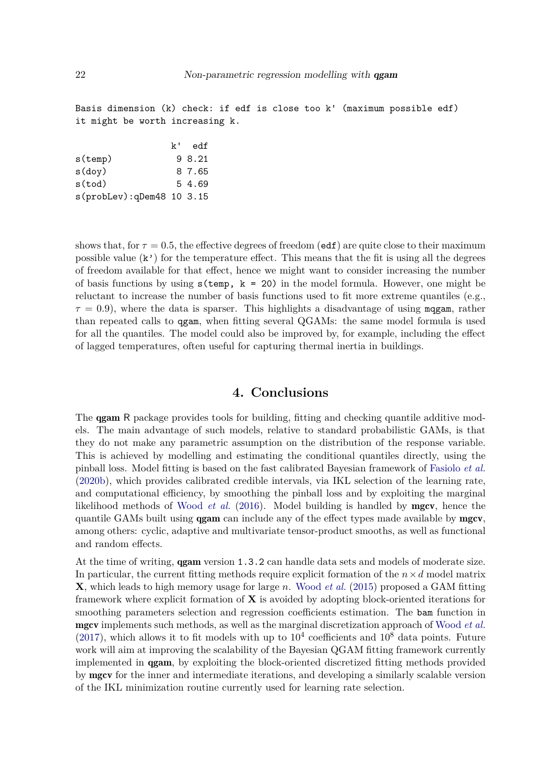Basis dimension (k) check: if edf is close too k' (maximum possible edf) it might be worth increasing k.

|                           | $k^+$ | edf    |
|---------------------------|-------|--------|
| $s$ (temp)                |       | 9 8.21 |
| $s$ (doy)                 |       | 8 7.65 |
| s(tod)                    |       | 5 4.69 |
| s(probLev):qDem48 10 3.15 |       |        |

shows that, for  $\tau = 0.5$ , the effective degrees of freedom (edf) are quite close to their maximum possible value  $(\mathbf{k}^{\prime})$  for the temperature effect. This means that the fit is using all the degrees of freedom available for that effect, hence we might want to consider increasing the number of basis functions by using  $s$  (temp,  $k = 20$ ) in the model formula. However, one might be reluctant to increase the number of basis functions used to fit more extreme quantiles (e.g.,  $\tau = 0.9$ ), where the data is sparser. This highlights a disadvantage of using magam, rather than repeated calls to qgam, when fitting several QGAMs: the same model formula is used for all the quantiles. The model could also be improved by, for example, including the effect of lagged temperatures, often useful for capturing thermal inertia in buildings.

# **4. Conclusions**

<span id="page-21-0"></span>The **qgam** R package provides tools for building, fitting and checking quantile additive models. The main advantage of such models, relative to standard probabilistic GAMs, is that they do not make any parametric assumption on the distribution of the response variable. This is achieved by modelling and estimating the conditional quantiles directly, using the pinball loss. Model fitting is based on the fast calibrated Bayesian framework of [Fasiolo](#page-22-1) *et al.* [\(2020b\)](#page-22-1), which provides calibrated credible intervals, via IKL selection of the learning rate, and computational efficiency, by smoothing the pinball loss and by exploiting the marginal likelihood methods of [Wood](#page-24-2) *et al.* [\(2016\)](#page-24-2). Model building is handled by mgcv, hence the quantile GAMs built using **qgam** can include any of the effect types made available by **mgcv**, among others: cyclic, adaptive and multivariate tensor-product smooths, as well as functional and random effects.

At the time of writing, qgam version 1.3.2 can handle data sets and models of moderate size. In particular, the current fitting methods require explicit formation of the  $n \times d$  model matrix **X**, which leads to high memory usage for large *n*. [Wood](#page-24-3) *et al.* [\(2015\)](#page-24-3) proposed a GAM fitting framework where explicit formation of **X** is avoided by adopting block-oriented iterations for smoothing parameters selection and regression coefficients estimation. The bam function in mgcv implements such methods, as well as the marginal discretization approach of [Wood](#page-24-4) *et al.*  $(2017)$ , which allows it to fit models with up to  $10<sup>4</sup>$  coefficients and  $10<sup>8</sup>$  data points. Future work will aim at improving the scalability of the Bayesian QGAM fitting framework currently implemented in qgam, by exploiting the block-oriented discretized fitting methods provided by mgcv for the inner and intermediate iterations, and developing a similarly scalable version of the IKL minimization routine currently used for learning rate selection.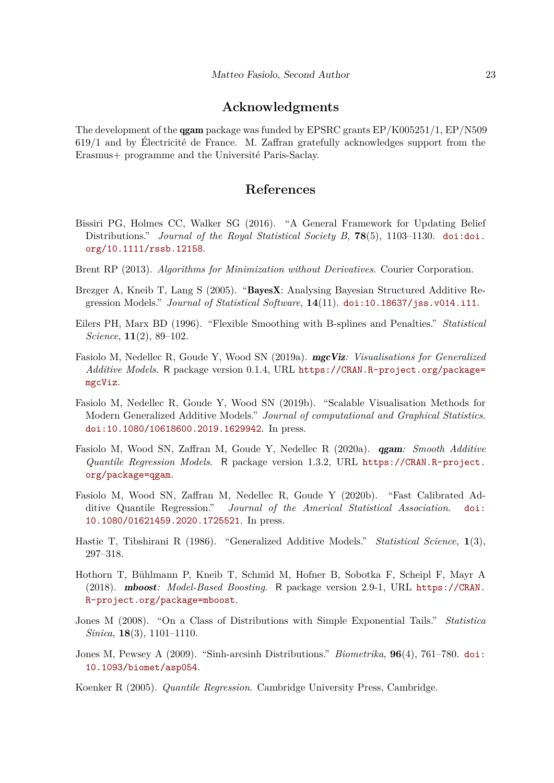## **Acknowledgments**

The development of the qgam package was funded by EPSRC grants EP/K005251/1, EP/N509 619/1 and by Électricité de France. M. Zaffran gratefully acknowledges support from the Erasmus+ programme and the Université Paris-Saclay.

# **References**

- <span id="page-22-4"></span>Bissiri PG, Holmes CC, Walker SG (2016). "A General Framework for Updating Belief Distributions." *Journal of the Royal Statistical Society B*, **78**(5), 1103–1130. [doi:doi.](http://dx.doi.org/doi.org/10.1111/rssb.12158) [org/10.1111/rssb.12158](http://dx.doi.org/doi.org/10.1111/rssb.12158).
- <span id="page-22-8"></span>Brent RP (2013). *Algorithms for Minimization without Derivatives*. Courier Corporation.
- <span id="page-22-6"></span>Brezger A, Kneib T, Lang S (2005). "BayesX: Analysing Bayesian Structured Additive Regression Models." *Journal of Statistical Software*, **14**(11). [doi:10.18637/jss.v014.i11](http://dx.doi.org/10.18637/jss.v014.i11).
- <span id="page-22-10"></span>Eilers PH, Marx BD (1996). "Flexible Smoothing with B-splines and Penalties." *Statistical Science*, **11**(2), 89–102.
- <span id="page-22-11"></span>Fasiolo M, Nedellec R, Goude Y, Wood SN (2019a). mgcViz*: Visualisations for Generalized Additive Models*. R package version 0.1.4, URL [https://CRAN.R-project.org/package=](https://CRAN.R-project.org/package=mgcViz) [mgcViz](https://CRAN.R-project.org/package=mgcViz).
- <span id="page-22-12"></span>Fasiolo M, Nedellec R, Goude Y, Wood SN (2019b). "Scalable Visualisation Methods for Modern Generalized Additive Models." *Journal of computational and Graphical Statistics*. [doi:10.1080/10618600.2019.1629942](http://dx.doi.org/10.1080/10618600.2019.1629942). In press.
- <span id="page-22-3"></span>Fasiolo M, Wood SN, Zaffran M, Goude Y, Nedellec R (2020a). qgam*: Smooth Additive Quantile Regression Models*. R package version 1.3.2, URL [https://CRAN.R-project.](https://CRAN.R-project.org/package=qgam) [org/package=qgam](https://CRAN.R-project.org/package=qgam).
- <span id="page-22-1"></span>Fasiolo M, Wood SN, Zaffran M, Nedellec R, Goude Y (2020b). "Fast Calibrated Additive Quantile Regression." *Journal of the Americal Statistical Association*. [doi:](http://dx.doi.org/10.1080/01621459.2020.1725521) [10.1080/01621459.2020.1725521](http://dx.doi.org/10.1080/01621459.2020.1725521). In press.
- <span id="page-22-2"></span>Hastie T, Tibshirani R (1986). "Generalized Additive Models." *Statistical Science*, **1**(3), 297–318.
- <span id="page-22-5"></span>Hothorn T, Bühlmann P, Kneib T, Schmid M, Hofner B, Sobotka F, Scheipl F, Mayr A (2018). mboost*: Model-Based Boosting*. R package version 2.9-1, URL [https://CRAN.](https://CRAN.R-project.org/package=mboost) [R-project.org/package=mboost](https://CRAN.R-project.org/package=mboost).
- <span id="page-22-7"></span>Jones M (2008). "On a Class of Distributions with Simple Exponential Tails." *Statistica Sinica*, **18**(3), 1101–1110.
- <span id="page-22-9"></span>Jones M, Pewsey A (2009). "Sinh-arcsinh Distributions." *Biometrika*, **96**(4), 761–780. [doi:](http://dx.doi.org/10.1093/biomet/asp054) [10.1093/biomet/asp054](http://dx.doi.org/10.1093/biomet/asp054).
- <span id="page-22-0"></span>Koenker R (2005). *Quantile Regression*. Cambridge University Press, Cambridge.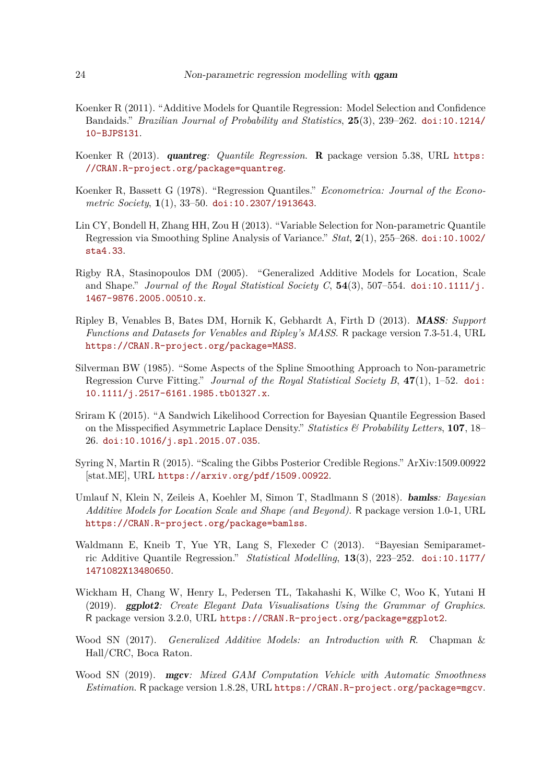- <span id="page-23-5"></span>Koenker R (2011). "Additive Models for Quantile Regression: Model Selection and Confidence Bandaids." *Brazilian Journal of Probability and Statistics*, **25**(3), 239–262. [doi:10.1214/](http://dx.doi.org/10.1214/10-BJPS131) [10-BJPS131](http://dx.doi.org/10.1214/10-BJPS131).
- <span id="page-23-4"></span>Koenker R (2013). quantreg*: Quantile Regression*. R package version 5.38, URL [https:](https://CRAN.R-project.org/package=quantreg) [//CRAN.R-project.org/package=quantreg](https://CRAN.R-project.org/package=quantreg).
- <span id="page-23-2"></span>Koenker R, Bassett G (1978). "Regression Quantiles." *Econometrica: Journal of the Econometric Society*, **1**(1), 33–50. [doi:10.2307/1913643](http://dx.doi.org/10.2307/1913643).
- <span id="page-23-8"></span>Lin CY, Bondell H, Zhang HH, Zou H (2013). "Variable Selection for Non-parametric Quantile Regression via Smoothing Spline Analysis of Variance." *Stat*, **2**(1), 255–268. [doi:10.1002/](http://dx.doi.org/10.1002/sta4.33) [sta4.33](http://dx.doi.org/10.1002/sta4.33).
- <span id="page-23-0"></span>Rigby RA, Stasinopoulos DM (2005). "Generalized Additive Models for Location, Scale and Shape." *Journal of the Royal Statistical Society C*,  $54(3)$ ,  $507-554$ . [doi:10.1111/j.](http://dx.doi.org/10.1111/j.1467-9876.2005.00510.x) [1467-9876.2005.00510.x](http://dx.doi.org/10.1111/j.1467-9876.2005.00510.x).
- <span id="page-23-12"></span>Ripley B, Venables B, Bates DM, Hornik K, Gebhardt A, Firth D (2013). MASS*: Support Functions and Datasets for Venables and Ripley's MASS*. R package version 7.3-51.4, URL <https://CRAN.R-project.org/package=MASS>.
- <span id="page-23-11"></span>Silverman BW (1985). "Some Aspects of the Spline Smoothing Approach to Non-parametric Regression Curve Fitting." *Journal of the Royal Statistical Society B*, **47**(1), 1–52. [doi:](http://dx.doi.org/10.1111/j.2517-6161.1985.tb01327.x) [10.1111/j.2517-6161.1985.tb01327.x](http://dx.doi.org/10.1111/j.2517-6161.1985.tb01327.x).
- <span id="page-23-3"></span>Sriram K (2015). "A Sandwich Likelihood Correction for Bayesian Quantile Eegression Based on the Misspecified Asymmetric Laplace Density." *Statistics & Probability Letters*, **107**, 18– 26. [doi:10.1016/j.spl.2015.07.035](http://dx.doi.org/10.1016/j.spl.2015.07.035).
- <span id="page-23-10"></span>Syring N, Martin R (2015). "Scaling the Gibbs Posterior Credible Regions." ArXiv:1509.00922 [stat.ME], URL <https://arxiv.org/pdf/1509.00922>.
- <span id="page-23-7"></span>Umlauf N, Klein N, Zeileis A, Koehler M, Simon T, Stadlmann S (2018). bamlss*: Bayesian Additive Models for Location Scale and Shape (and Beyond)*. R package version 1.0-1, URL <https://CRAN.R-project.org/package=bamlss>.
- <span id="page-23-6"></span>Waldmann E, Kneib T, Yue YR, Lang S, Flexeder C (2013). "Bayesian Semiparametric Additive Quantile Regression." *Statistical Modelling*, **13**(3), 223–252. [doi:10.1177/](http://dx.doi.org/10.1177/1471082X13480650) [1471082X13480650](http://dx.doi.org/10.1177/1471082X13480650).
- <span id="page-23-13"></span>Wickham H, Chang W, Henry L, Pedersen TL, Takahashi K, Wilke C, Woo K, Yutani H (2019). ggplot2*: Create Elegant Data Visualisations Using the Grammar of Graphics*. R package version 3.2.0, URL <https://CRAN.R-project.org/package=ggplot2>.
- <span id="page-23-9"></span>Wood SN (2017). *Generalized Additive Models: an Introduction with* R. Chapman & Hall/CRC, Boca Raton.
- <span id="page-23-1"></span>Wood SN (2019). mgcv*: Mixed GAM Computation Vehicle with Automatic Smoothness Estimation*. R package version 1.8.28, URL <https://CRAN.R-project.org/package=mgcv>.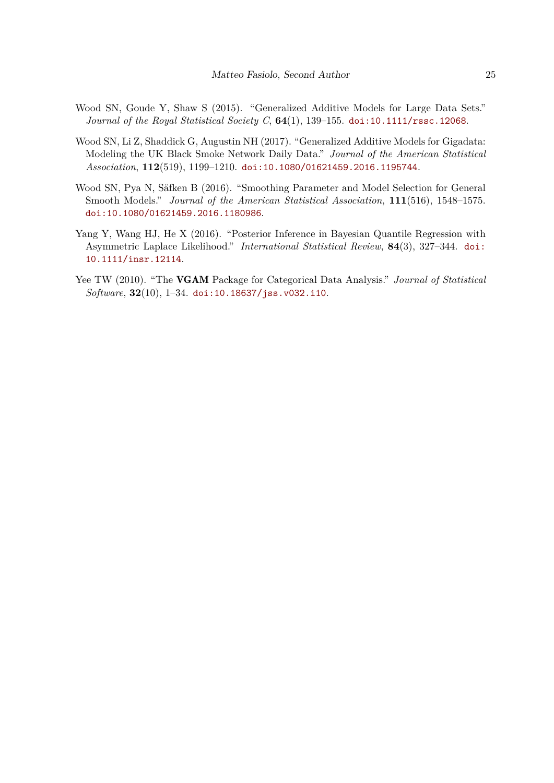- <span id="page-24-3"></span>Wood SN, Goude Y, Shaw S (2015). "Generalized Additive Models for Large Data Sets." *Journal of the Royal Statistical Society C*, **64**(1), 139–155. [doi:10.1111/rssc.12068](http://dx.doi.org/10.1111/rssc.12068).
- <span id="page-24-4"></span>Wood SN, Li Z, Shaddick G, Augustin NH (2017). "Generalized Additive Models for Gigadata: Modeling the UK Black Smoke Network Daily Data." *Journal of the American Statistical Association*, **112**(519), 1199–1210. [doi:10.1080/01621459.2016.1195744](http://dx.doi.org/10.1080/01621459.2016.1195744).
- <span id="page-24-2"></span>Wood SN, Pya N, Säfken B (2016). "Smoothing Parameter and Model Selection for General Smooth Models." *Journal of the American Statistical Association*, **111**(516), 1548–1575. [doi:10.1080/01621459.2016.1180986](http://dx.doi.org/10.1080/01621459.2016.1180986).
- <span id="page-24-0"></span>Yang Y, Wang HJ, He X (2016). "Posterior Inference in Bayesian Quantile Regression with Asymmetric Laplace Likelihood." *International Statistical Review*, **84**(3), 327–344. [doi:](http://dx.doi.org/10.1111/insr.12114) [10.1111/insr.12114](http://dx.doi.org/10.1111/insr.12114).
- <span id="page-24-1"></span>Yee TW (2010). "The VGAM Package for Categorical Data Analysis." *Journal of Statistical Software*, **32**(10), 1–34. [doi:10.18637/jss.v032.i10](http://dx.doi.org/10.18637/jss.v032.i10).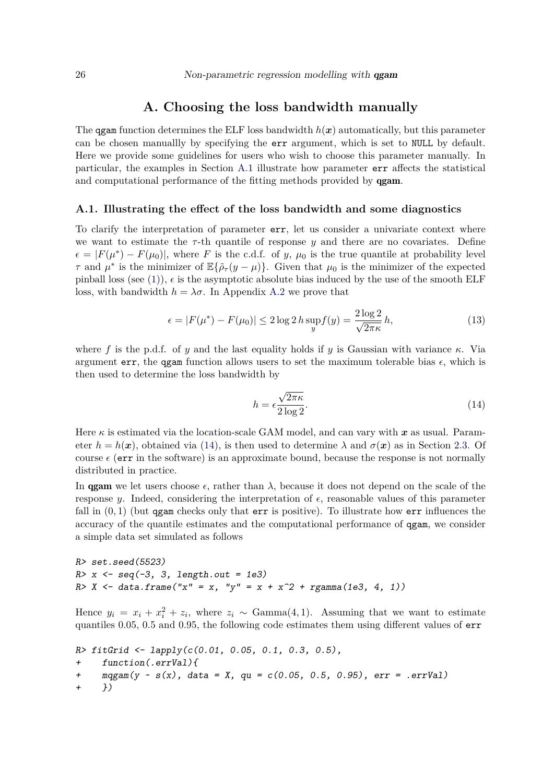## **A. Choosing the loss bandwidth manually**

<span id="page-25-0"></span>The ggam function determines the ELF loss bandwidth  $h(x)$  automatically, but this parameter can be chosen manuallly by specifying the err argument, which is set to NULL by default. Here we provide some guidelines for users who wish to choose this parameter manually. In particular, the examples in Section [A.1](#page-25-1) illustrate how parameter err affects the statistical and computational performance of the fitting methods provided by qgam.

## <span id="page-25-1"></span>**A.1. Illustrating the effect of the loss bandwidth and some diagnostics**

To clarify the interpretation of parameter err, let us consider a univariate context where we want to estimate the  $\tau$ -th quantile of response  $\gamma$  and there are no covariates. Define  $\epsilon = |F(\mu^*) - F(\mu_0)|$ , where *F* is the c.d.f. of *y*,  $\mu_0$  is the true quantile at probability level *τ* and  $\mu^*$  is the minimizer of  $\mathbb{E}\{\tilde{\rho}_{\tau}(y-\mu)\}$ . Given that  $\mu_0$  is the minimizer of the expected pinball loss (see [\(1\)](#page-2-1)),  $\epsilon$  is the asymptotic absolute bias induced by the use of the smooth ELF loss, with bandwidth  $h = \lambda \sigma$ . In Appendix [A.2](#page-30-0) we prove that

$$
\epsilon = |F(\mu^*) - F(\mu_0)| \le 2 \log 2 \, h \sup_y f(y) = \frac{2 \log 2}{\sqrt{2\pi \kappa}} \, h,\tag{13}
$$

where f is the p.d.f. of *y* and the last equality holds if *y* is Gaussian with variance  $\kappa$ . Via argument err, the qgam function allows users to set the maximum tolerable bias  $\epsilon$ , which is then used to determine the loss bandwidth by

<span id="page-25-2"></span>
$$
h = \epsilon \frac{\sqrt{2\pi\kappa}}{2\log 2}.
$$
\n(14)

Here  $\kappa$  is estimated via the location-scale GAM model, and can vary with  $x$  as usual. Parameter  $h = h(x)$ , obtained via [\(14\)](#page-25-2), is then used to determine  $\lambda$  and  $\sigma(x)$  as in Section [2.3.](#page-4-1) Of course  $\epsilon$  (err in the software) is an approximate bound, because the response is not normally distributed in practice.

In **gam** we let users choose  $\epsilon$ , rather than  $\lambda$ , because it does not depend on the scale of the response *y*. Indeed, considering the interpretation of  $\epsilon$ , reasonable values of this parameter fall in  $(0,1)$  (but qgam checks only that err is positive). To illustrate how err influences the accuracy of the quantile estimates and the computational performance of qgam, we consider a simple data set simulated as follows

```
R> set.seed(5523)
R > x \leftarrow seq(-3, 3, length.out = 1e3)R> X <- data.frame("x" = x, "y" = x + x<sup>2</sup> + rgamma(1e3, 4, 1))
```
Hence  $y_i = x_i + x_i^2 + z_i$ , where  $z_i \sim \text{Gamma}(4, 1)$ . Assuming that we want to estimate quantiles 0.05, 0.5 and 0.95, the following code estimates them using different values of err

```
R > fictGrid \leftarrow \text{lapply}(c(0.01, 0.05, 0.1, 0.3, 0.5))+ function(.errVal){
+ \text{mqgam}(y \sim s(x), \text{ data = } X, \text{ qu = } c(0.05, 0.5, 0.95), \text{ err = } .\text{errVal})+ })
```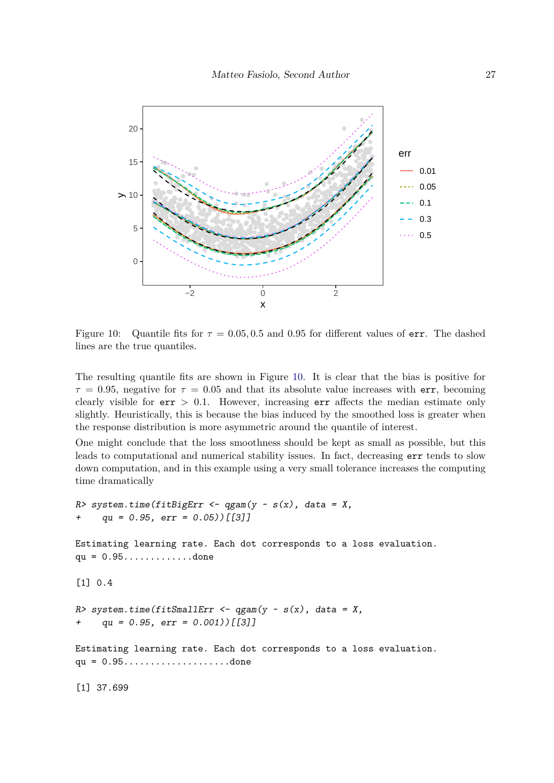

<span id="page-26-0"></span>Figure 10: Quantile fits for  $\tau = 0.05, 0.5$  and 0.95 for different values of err. The dashed lines are the true quantiles.

The resulting quantile fits are shown in Figure [10.](#page-26-0) It is clear that the bias is positive for  $\tau = 0.95$ , negative for  $\tau = 0.05$  and that its absolute value increases with err, becoming clearly visible for  $err > 0.1$ . However, increasing  $err$  affects the median estimate only slightly. Heuristically, this is because the bias induced by the smoothed loss is greater when the response distribution is more asymmetric around the quantile of interest.

One might conclude that the loss smoothness should be kept as small as possible, but this leads to computational and numerical stability issues. In fact, decreasing err tends to slow down computation, and in this example using a very small tolerance increases the computing time dramatically

```
R> system.time(fitBigErr <- qgam(y \sim s(x), data = X,
     qu = 0.95, err = 0.05) [[3]]
Estimating learning rate. Each dot corresponds to a loss evaluation.
qu = 0.95.............done
[1] 0.4
R> system.time(fitSmallErr <- qgam(y \sim s(x)), data = X,
+ qu = 0.95, err = 0.001) [[3]]
Estimating learning rate. Each dot corresponds to a loss evaluation.
qu = 0.95....................done
[1] 37.699
```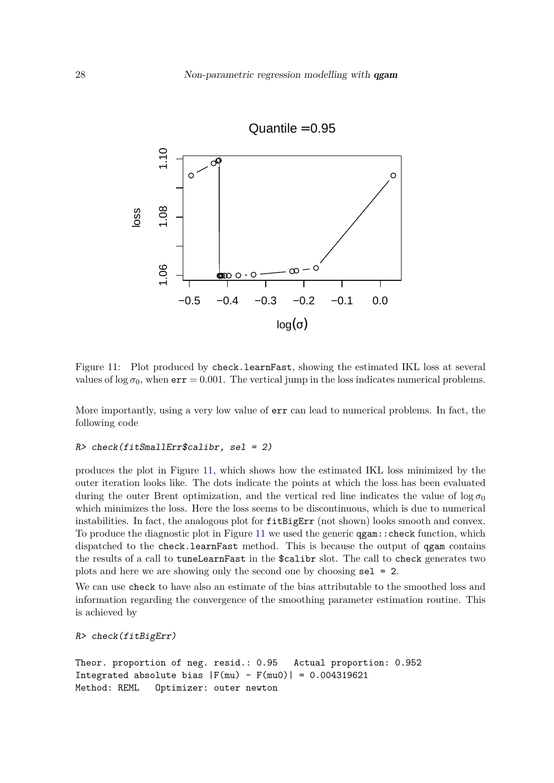

<span id="page-27-0"></span>Figure 11: Plot produced by check.learnFast, showing the estimated IKL loss at several values of  $\log \sigma_0$ , when  $err = 0.001$ . The vertical jump in the loss indicates numerical problems.

More importantly, using a very low value of err can lead to numerical problems. In fact, the following code

#### R> check(fitSmallErr\$calibr, sel = 2)

produces the plot in Figure [11,](#page-27-0) which shows how the estimated IKL loss minimized by the outer iteration looks like. The dots indicate the points at which the loss has been evaluated during the outer Brent optimization, and the vertical red line indicates the value of  $\log \sigma_0$ which minimizes the loss. Here the loss seems to be discontinuous, which is due to numerical instabilities. In fact, the analogous plot for fitBigErr (not shown) looks smooth and convex. To produce the diagnostic plot in Figure [11](#page-27-0) we used the generic qgam::check function, which dispatched to the check.learnFast method. This is because the output of qgam contains the results of a call to tuneLearnFast in the \$calibr slot. The call to check generates two plots and here we are showing only the second one by choosing sel = 2.

We can use check to have also an estimate of the bias attributable to the smoothed loss and information regarding the convergence of the smoothing parameter estimation routine. This is achieved by

```
R> check(fitBigErr)
```

```
Theor. proportion of neg. resid.: 0.95 Actual proportion: 0.952
Integrated absolute bias |F(mu) - F(mu0)| = 0.004319621Method: REML Optimizer: outer newton
```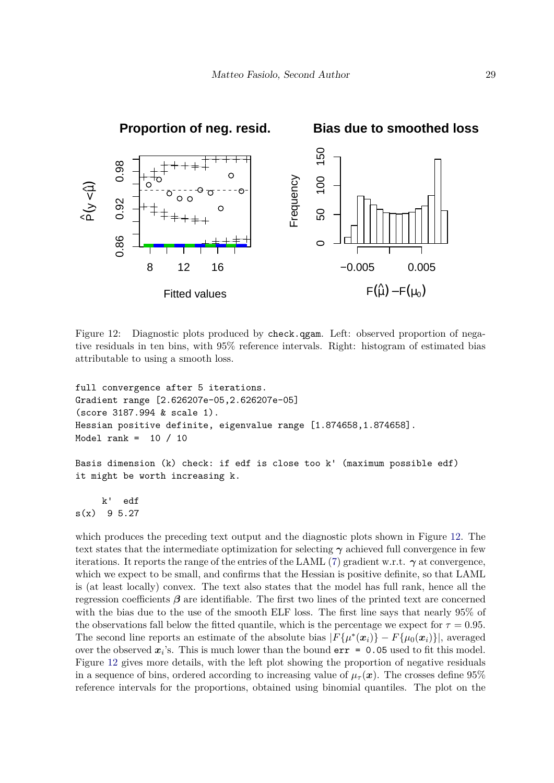

<span id="page-28-0"></span>Figure 12: Diagnostic plots produced by check.qgam. Left: observed proportion of negative residuals in ten bins, with 95% reference intervals. Right: histogram of estimated bias attributable to using a smooth loss.

```
full convergence after 5 iterations.
Gradient range [2.626207e-05,2.626207e-05]
(score 3187.994 & scale 1).
Hessian positive definite, eigenvalue range [1.874658,1.874658].
Model rank = 10 / 10
Basis dimension (k) check: if edf is close too k' (maximum possible edf)
it might be worth increasing k.
```
k' edf  $s(x)$  9 5.27

which produces the preceding text output and the diagnostic plots shown in Figure [12.](#page-28-0) The text states that the intermediate optimization for selecting  $\gamma$  achieved full convergence in few iterations. It reports the range of the entries of the LAML [\(7\)](#page-5-1) gradient w.r.t.  $\gamma$  at convergence, which we expect to be small, and confirms that the Hessian is positive definite, so that LAML is (at least locally) convex. The text also states that the model has full rank, hence all the regression coefficients  $\beta$  are identifiable. The first two lines of the printed text are concerned with the bias due to the use of the smooth ELF loss. The first line says that nearly 95% of the observations fall below the fitted quantile, which is the percentage we expect for  $\tau = 0.95$ . The second line reports an estimate of the absolute bias  $|F{\mu^*(x_i)} - F{\mu_0(x_i)}|$ , averaged over the observed  $x_i$ 's. This is much lower than the bound  $err = 0.05$  used to fit this model. Figure [12](#page-28-0) gives more details, with the left plot showing the proportion of negative residuals in a sequence of bins, ordered according to increasing value of  $\mu_{\tau}(\mathbf{x})$ . The crosses define 95% reference intervals for the proportions, obtained using binomial quantiles. The plot on the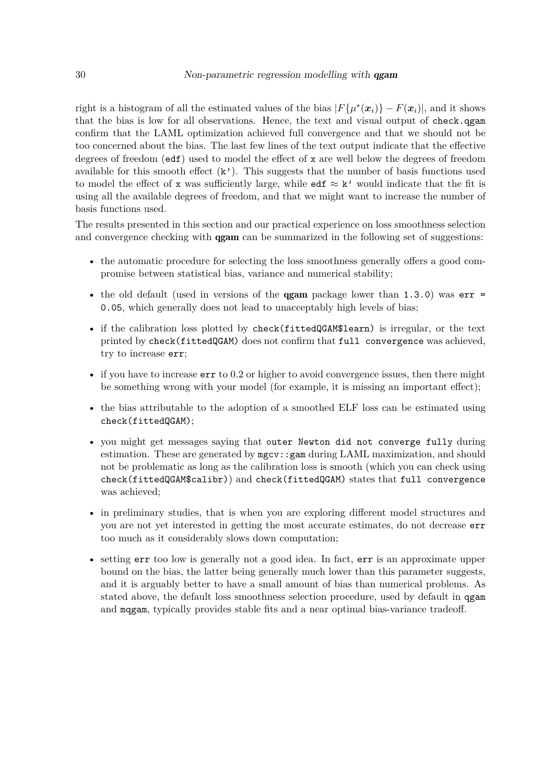right is a histogram of all the estimated values of the bias  $|F{\mu^*(x_i)} - F(x_i)|$ , and it shows that the bias is low for all observations. Hence, the text and visual output of check.qgam confirm that the LAML optimization achieved full convergence and that we should not be too concerned about the bias. The last few lines of the text output indicate that the effective degrees of freedom (edf) used to model the effect of x are well below the degrees of freedom available for this smooth effect  $(k')$ . This suggests that the number of basis functions used to model the effect of x was sufficiently large, while edf  $\approx k'$  would indicate that the fit is using all the available degrees of freedom, and that we might want to increase the number of basis functions used.

The results presented in this section and our practical experience on loss smoothness selection and convergence checking with **qgam** can be summarized in the following set of suggestions:

- the automatic procedure for selecting the loss smoothness generally offers a good compromise between statistical bias, variance and numerical stability;
- the old default (used in versions of the **ggam** package lower than  $1.3.0$ ) was  $err =$ 0.05, which generally does not lead to unacceptably high levels of bias;
- if the calibration loss plotted by check(fittedQGAM\$learn) is irregular, or the text printed by check(fittedQGAM) does not confirm that full convergence was achieved, try to increase err;
- if you have to increase  $err$  to 0.2 or higher to avoid convergence issues, then there might be something wrong with your model (for example, it is missing an important effect);
- the bias attributable to the adoption of a smoothed ELF loss can be estimated using check(fittedQGAM);
- you might get messages saying that outer Newton did not converge fully during estimation. These are generated by mgcv::gam during LAML maximization, and should not be problematic as long as the calibration loss is smooth (which you can check using check(fittedQGAM\$calibr)) and check(fittedQGAM) states that full convergence was achieved;
- in preliminary studies, that is when you are exploring different model structures and you are not yet interested in getting the most accurate estimates, do not decrease err too much as it considerably slows down computation;
- setting err too low is generally not a good idea. In fact, err is an approximate upper bound on the bias, the latter being generally much lower than this parameter suggests, and it is arguably better to have a small amount of bias than numerical problems. As stated above, the default loss smoothness selection procedure, used by default in qgam and mqgam, typically provides stable fits and a near optimal bias-variance tradeoff.